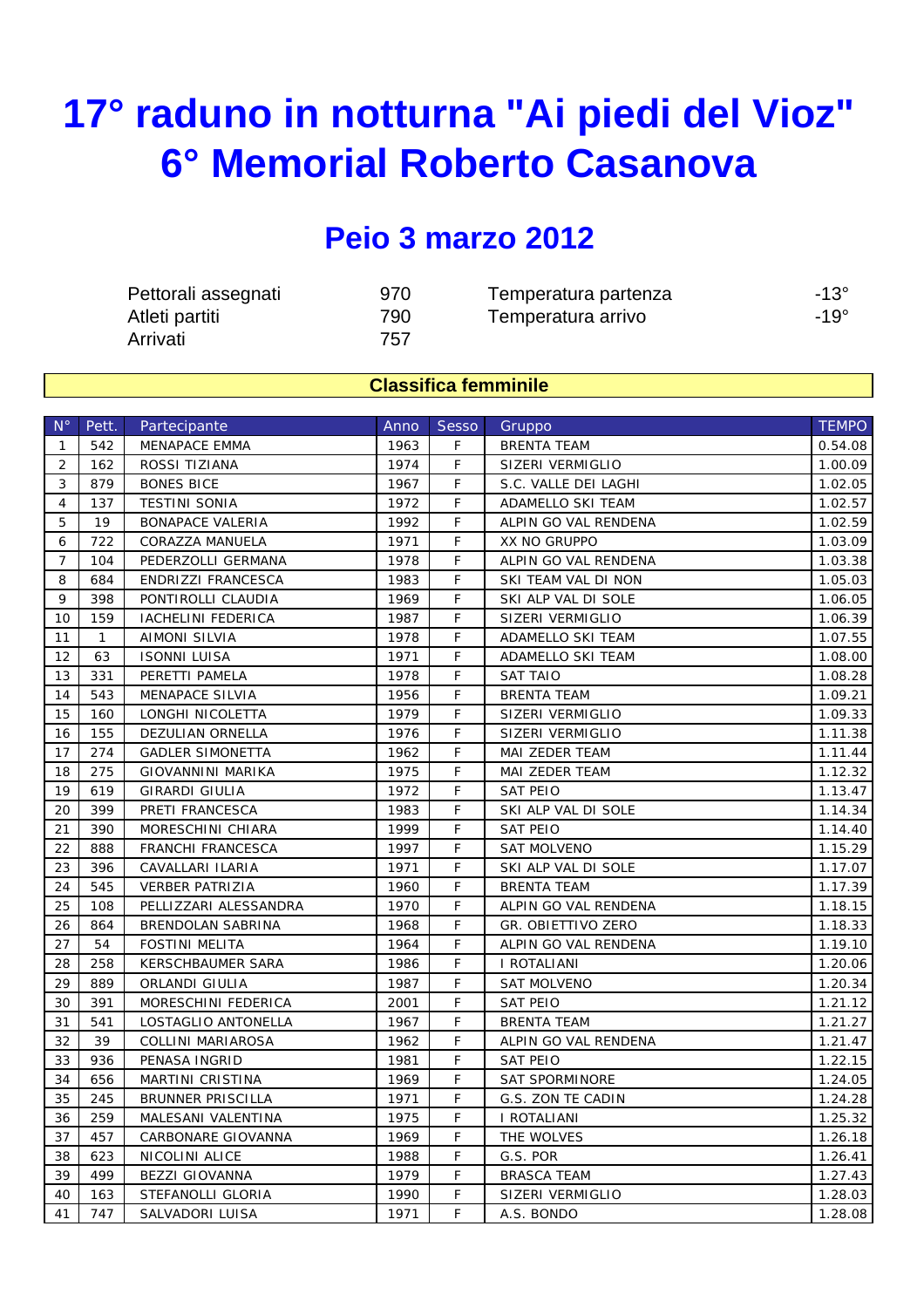## **17° raduno in notturna "Ai piedi del Vioz" 6° Memorial Roberto Casanova**

## **Peio 3 marzo 2012**

| Pettorali assegnati | 970 | Temperatura partenza | $-13^\circ$ |
|---------------------|-----|----------------------|-------------|
| Atleti partiti      | 790 | Temperatura arrivo   | $-19^\circ$ |
| Arrivati            | 757 |                      |             |

## **Classifica femminile**

| $N^{\circ}$    | Pett.        | Partecipante              | Anno | <b>Sesso</b> | Gruppo                | <b>TEMPO</b> |
|----------------|--------------|---------------------------|------|--------------|-----------------------|--------------|
| $\mathbf{1}$   | 542          | MENAPACE EMMA             | 1963 | F            | <b>BRENTA TEAM</b>    | 0.54.08      |
| 2              | 162          | ROSSI TIZIANA             | 1974 | F            | SIZERI VERMIGLIO      | 1.00.09      |
| 3              | 879          | <b>BONES BICE</b>         | 1967 | F            | S.C. VALLE DEI LAGHI  | 1.02.05      |
| $\overline{4}$ | 137          | <b>TESTINI SONIA</b>      | 1972 | F            | ADAMELLO SKI TEAM     | 1.02.57      |
| 5              | 19           | <b>BONAPACE VALERIA</b>   | 1992 | F            | ALPIN GO VAL RENDENA  | 1.02.59      |
| 6              | 722          | CORAZZA MANUELA           | 1971 | F.           | XX NO GRUPPO          | 1.03.09      |
| $\overline{7}$ | 104          | PEDERZOLLI GERMANA        | 1978 | F            | ALPIN GO VAL RENDENA  | 1.03.38      |
| 8              | 684          | <b>ENDRIZZI FRANCESCA</b> | 1983 | F            | SKI TEAM VAL DI NON   | 1.05.03      |
| 9              | 398          | PONTIROLLI CLAUDIA        | 1969 | F            | SKI ALP VAL DI SOLE   | 1.06.05      |
| 10             | 159          | IACHELINI FEDERICA        | 1987 | F            | SIZERI VERMIGLIO      | 1.06.39      |
| 11             | $\mathbf{1}$ | AIMONI SILVIA             | 1978 | F            | ADAMELLO SKI TEAM     | 1.07.55      |
| 12             | 63           | ISONNI LUISA              | 1971 | F            | ADAMELLO SKI TEAM     | 1.08.00      |
| 13             | 331          | PERETTI PAMELA            | 1978 | F            | <b>SAT TAIO</b>       | 1.08.28      |
| 14             | 543          | MENAPACE SILVIA           | 1956 | F            | <b>BRENTA TEAM</b>    | 1.09.21      |
| 15             | 160          | LONGHI NICOLETTA          | 1979 | F            | SIZERI VERMIGLIO      | 1.09.33      |
| 16             | 155          | DEZULIAN ORNELLA          | 1976 | F            | SIZERI VERMIGLIO      | 1.11.38      |
| 17             | 274          | <b>GADLER SIMONETTA</b>   | 1962 | F            | MAI ZEDER TEAM        | 1.11.44      |
| 18             | 275          | <b>GIOVANNINI MARIKA</b>  | 1975 | F            | MAI ZEDER TEAM        | 1.12.32      |
| 19             | 619          | GIRARDI GIULIA            | 1972 | F            | SAT PEIO              | 1.13.47      |
| 20             | 399          | PRETI FRANCESCA           | 1983 | F            | SKI ALP VAL DI SOLE   | 1.14.34      |
| 21             | 390          | MORESCHINI CHIARA         | 1999 | F            | <b>SAT PEIO</b>       | 1.14.40      |
| 22             | 888          | <b>FRANCHI FRANCESCA</b>  | 1997 | F            | <b>SAT MOLVENO</b>    | 1.15.29      |
| 23             | 396          | CAVALLARI ILARIA          | 1971 | F            | SKI ALP VAL DI SOLE   | 1.17.07      |
| 24             | 545          | <b>VERBER PATRIZIA</b>    | 1960 | F            | <b>BRENTA TEAM</b>    | 1.17.39      |
| 25             | 108          | PELLIZZARI ALESSANDRA     | 1970 | F            | ALPIN GO VAL RENDENA  | 1.18.15      |
| 26             | 864          | BRENDOLAN SABRINA         | 1968 | F            | GR. OBIETTIVO ZERO    | 1.18.33      |
| 27             | 54           | FOSTINI MELITA            | 1964 | F            | ALPIN GO VAL RENDENA  | 1.19.10      |
| 28             | 258          | <b>KERSCHBAUMER SARA</b>  | 1986 | F            | I ROTALIANI           | 1.20.06      |
| 29             | 889          | ORLANDI GIULIA            | 1987 | F            | <b>SAT MOLVENO</b>    | 1.20.34      |
| 30             | 391          | MORESCHINI FEDERICA       | 2001 | F            | SAT PEIO              | 1.21.12      |
| 31             | 541          | LOSTAGLIO ANTONELLA       | 1967 | F            | <b>BRENTA TEAM</b>    | 1.21.27      |
| 32             | 39           | <b>COLLINI MARIAROSA</b>  | 1962 | F            | ALPIN GO VAL RENDENA  | 1.21.47      |
| 33             | 936          | PENASA INGRID             | 1981 | F.           | <b>SAT PEIO</b>       | 1.22.15      |
| 34             | 656          | MARTINI CRISTINA          | 1969 | F            | <b>SAT SPORMINORE</b> | 1.24.05      |
| 35             | 245          | <b>BRUNNER PRISCILLA</b>  | 1971 | F            | G.S. ZON TE CADIN     | 1.24.28      |
| 36             | 259          | MALESANI VALENTINA        | 1975 | F            | I ROTALIANI           | 1.25.32      |
| 37             | 457          | CARBONARE GIOVANNA        | 1969 | F.           | THE WOLVES            | 1.26.18      |
| 38             | 623          | NICOLINI ALICE            | 1988 | F.           | G.S. POR              | 1.26.41      |
| 39             | 499          | <b>BEZZI GIOVANNA</b>     | 1979 | F.           | <b>BRASCA TEAM</b>    | 1.27.43      |
| 40             | 163          | STEFANOLLI GLORIA         | 1990 | F            | SIZERI VERMIGLIO      | 1.28.03      |
| 41             | 747          | SALVADORI LUISA           | 1971 | F            | A.S. BONDO            | 1.28.08      |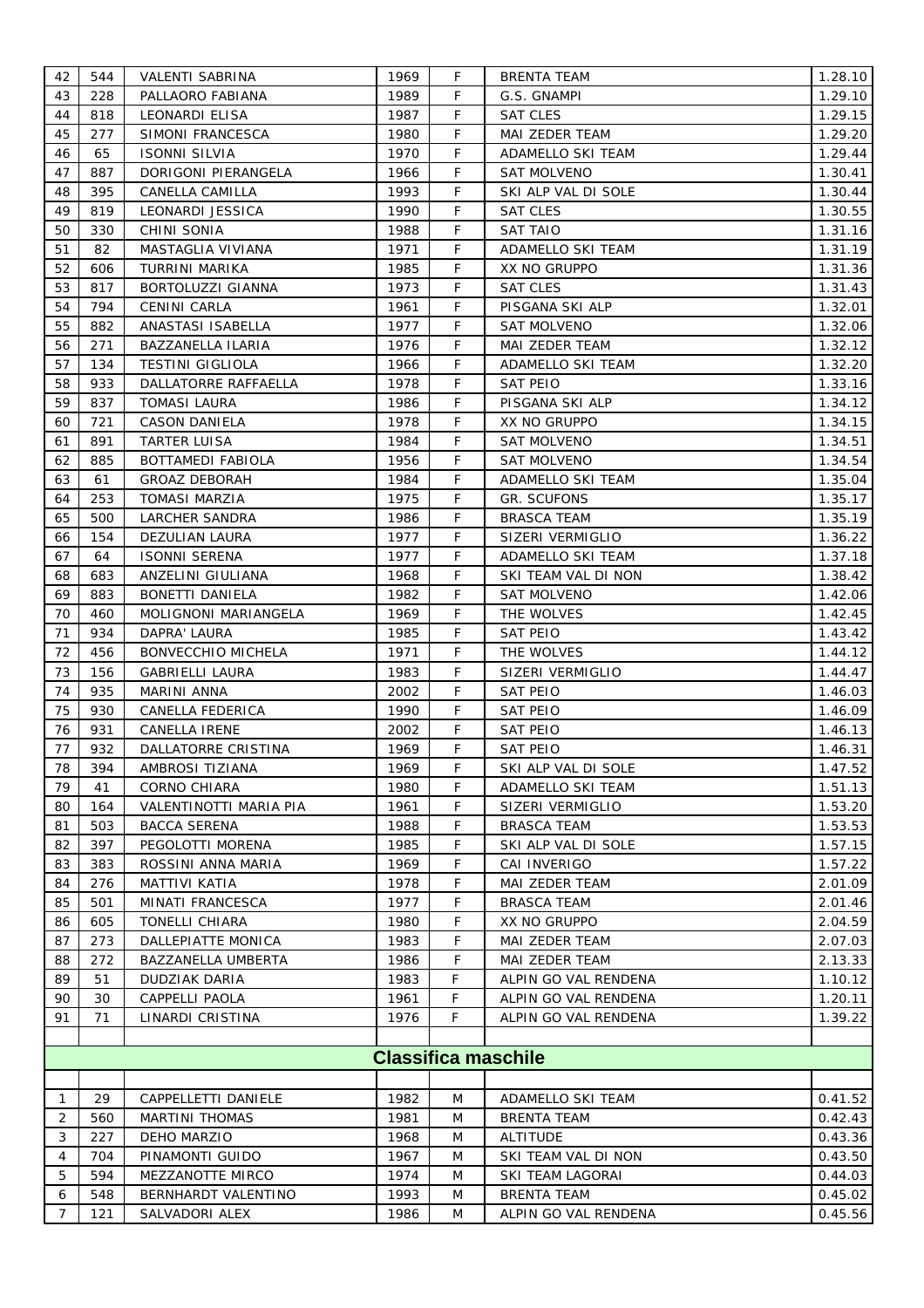| 42 | 544 | VALENTI SABRINA           | 1969 | F  | BRENTA TEAM                | 1.28.10 |
|----|-----|---------------------------|------|----|----------------------------|---------|
| 43 | 228 | PALLAORO FABIANA          | 1989 | F  | G.S. GNAMPI                | 1.29.10 |
| 44 | 818 | LEONARDI ELISA            | 1987 | F  | <b>SAT CLES</b>            | 1.29.15 |
| 45 | 277 | SIMONI FRANCESCA          | 1980 | F  | MAI ZEDER TEAM             | 1.29.20 |
| 46 | 65  | <b>ISONNI SILVIA</b>      | 1970 | F  | ADAMELLO SKI TEAM          | 1.29.44 |
| 47 | 887 | DORIGONI PIERANGELA       | 1966 | F  | <b>SAT MOLVENO</b>         | 1.30.41 |
| 48 | 395 | CANELLA CAMILLA           | 1993 | F  | SKI ALP VAL DI SOLE        | 1.30.44 |
| 49 | 819 | LEONARDI JESSICA          | 1990 | F  | SAT CLES                   | 1.30.55 |
| 50 | 330 | CHINI SONIA               | 1988 | F  | SAT TAIO                   | 1.31.16 |
| 51 | 82  | MASTAGLIA VIVIANA         | 1971 | F  | ADAMELLO SKI TEAM          | 1.31.19 |
| 52 | 606 | TURRINI MARIKA            | 1985 | F  | XX NO GRUPPO               | 1.31.36 |
| 53 | 817 | BORTOLUZZI GIANNA         | 1973 | F  | SAT CLES                   | 1.31.43 |
| 54 | 794 | CENINI CARLA              | 1961 | F  | PISGANA SKI ALP            | 1.32.01 |
| 55 | 882 | ANASTASI ISABELLA         | 1977 | F  | <b>SAT MOLVENO</b>         | 1.32.06 |
| 56 | 271 | BAZZANELLA ILARIA         | 1976 | F  | MAI ZEDER TEAM             | 1.32.12 |
| 57 | 134 | <b>TESTINI GIGLIOLA</b>   | 1966 | F  | ADAMELLO SKI TEAM          | 1.32.20 |
| 58 | 933 | DALLATORRE RAFFAELLA      | 1978 | F  | SAT PEIO                   | 1.33.16 |
| 59 | 837 | <b>TOMASI LAURA</b>       | 1986 | F  | PISGANA SKI ALP            | 1.34.12 |
| 60 | 721 | CASON DANIELA             | 1978 | F  | XX NO GRUPPO               | 1.34.15 |
| 61 | 891 | <b>TARTER LUISA</b>       | 1984 | F  | <b>SAT MOLVENO</b>         | 1.34.51 |
| 62 | 885 | <b>BOTTAMEDI FABIOLA</b>  | 1956 | F  | <b>SAT MOLVENO</b>         | 1.34.54 |
| 63 | 61  | <b>GROAZ DEBORAH</b>      | 1984 | F  | ADAMELLO SKI TEAM          | 1.35.04 |
| 64 | 253 | <b>TOMASI MARZIA</b>      | 1975 | F  | GR. SCUFONS                | 1.35.17 |
| 65 | 500 | <b>LARCHER SANDRA</b>     | 1986 | F  | BRASCA TEAM                | 1.35.19 |
| 66 | 154 | DEZULIAN LAURA            | 1977 | F  | SIZERI VERMIGLIO           | 1.36.22 |
| 67 | 64  | <b>ISONNI SERENA</b>      | 1977 | F  | ADAMELLO SKI TEAM          | 1.37.18 |
| 68 | 683 | ANZELINI GIULIANA         | 1968 | F  | SKI TEAM VAL DI NON        | 1.38.42 |
| 69 | 883 | <b>BONETTI DANIELA</b>    | 1982 | F  | <b>SAT MOLVENO</b>         | 1.42.06 |
| 70 | 460 | MOLIGNONI MARIANGELA      | 1969 | F  | THE WOLVES                 | 1.42.45 |
| 71 | 934 | DAPRA' LAURA              | 1985 | F  | <b>SAT PEIO</b>            | 1.43.42 |
| 72 | 456 | <b>BONVECCHIO MICHELA</b> | 1971 | F  | THE WOLVES                 | 1.44.12 |
| 73 | 156 | <b>GABRIELLI LAURA</b>    | 1983 | F  | SIZERI VERMIGLIO           | 1.44.47 |
| 74 | 935 | MARINI ANNA               | 2002 | F  | SAT PEIO                   | 1.46.03 |
| 75 | 930 | CANELLA FEDERICA          | 1990 | F  | SAT PEIO                   | 1.46.09 |
| 76 | 931 | CANELLA IRENE             | 2002 | F  | <b>SAT PEIO</b>            | 1.46.13 |
| 77 | 932 | DALLATORRE CRISTINA       | 1969 | F  | <b>SAT PEIO</b>            | 1.46.31 |
| 78 | 394 | AMBROSI TIZIANA           | 1969 | F  | SKI ALP VAL DI SOLE        | 1.47.52 |
| 79 | 41  | CORNO CHIARA              | 1980 | F  | <b>ADAMELLO SKI TEAM</b>   | 1.51.13 |
| 80 | 164 | VALENTINOTTI MARIA PIA    | 1961 | F  | SIZERI VERMIGLIO           | 1.53.20 |
| 81 | 503 | <b>BACCA SERENA</b>       | 1988 | F  | <b>BRASCA TEAM</b>         | 1.53.53 |
| 82 | 397 | PEGOLOTTI MORENA          | 1985 | F  | SKI ALP VAL DI SOLE        | 1.57.15 |
| 83 | 383 | ROSSINI ANNA MARIA        | 1969 | F  | CAI INVERIGO               | 1.57.22 |
| 84 | 276 | MATTIVI KATIA             | 1978 | F  | <b>MAI ZEDER TEAM</b>      | 2.01.09 |
| 85 | 501 | MINATI FRANCESCA          | 1977 | F  | BRASCA TEAM                | 2.01.46 |
| 86 | 605 | TONELLI CHIARA            | 1980 | F  | XX NO GRUPPO               | 2.04.59 |
| 87 | 273 | DALLEPIATTE MONICA        | 1983 | F  | MAI ZEDER TEAM             | 2.07.03 |
| 88 | 272 | BAZZANELLA UMBERTA        | 1986 | F  | MAI ZEDER TEAM             | 2.13.33 |
| 89 | 51  | DUDZIAK DARIA             | 1983 | F. | ALPIN GO VAL RENDENA       | 1.10.12 |
| 90 | 30  | CAPPELLI PAOLA            | 1961 | F  | ALPIN GO VAL RENDENA       | 1.20.11 |
| 91 | 71  | LINARDI CRISTINA          | 1976 | F. | ALPIN GO VAL RENDENA       | 1.39.22 |
|    |     |                           |      |    |                            |         |
|    |     |                           |      |    | <b>Classifica maschile</b> |         |
|    |     |                           |      |    |                            |         |
| 1  | 29  | CAPPELLETTI DANIELE       | 1982 | M  | ADAMELLO SKI TEAM          | 0.41.52 |
| 2  | 560 | MARTINI THOMAS            | 1981 | M  | BRENTA TEAM                | 0.42.43 |
| 3  | 227 | DEHO MARZIO               | 1968 | M  | ALTITUDE                   | 0.43.36 |
| 4  | 704 | PINAMONTI GUIDO           | 1967 | M  | SKI TEAM VAL DI NON        | 0.43.50 |
| 5  | 594 | MEZZANOTTE MIRCO          | 1974 | M  | SKI TEAM LAGORAI           | 0.44.03 |
| 6  | 548 | BERNHARDT VALENTINO       | 1993 | M  | BRENTA TEAM                | 0.45.02 |
| 7  | 121 | SALVADORI ALEX            | 1986 | M  | ALPIN GO VAL RENDENA       | 0.45.56 |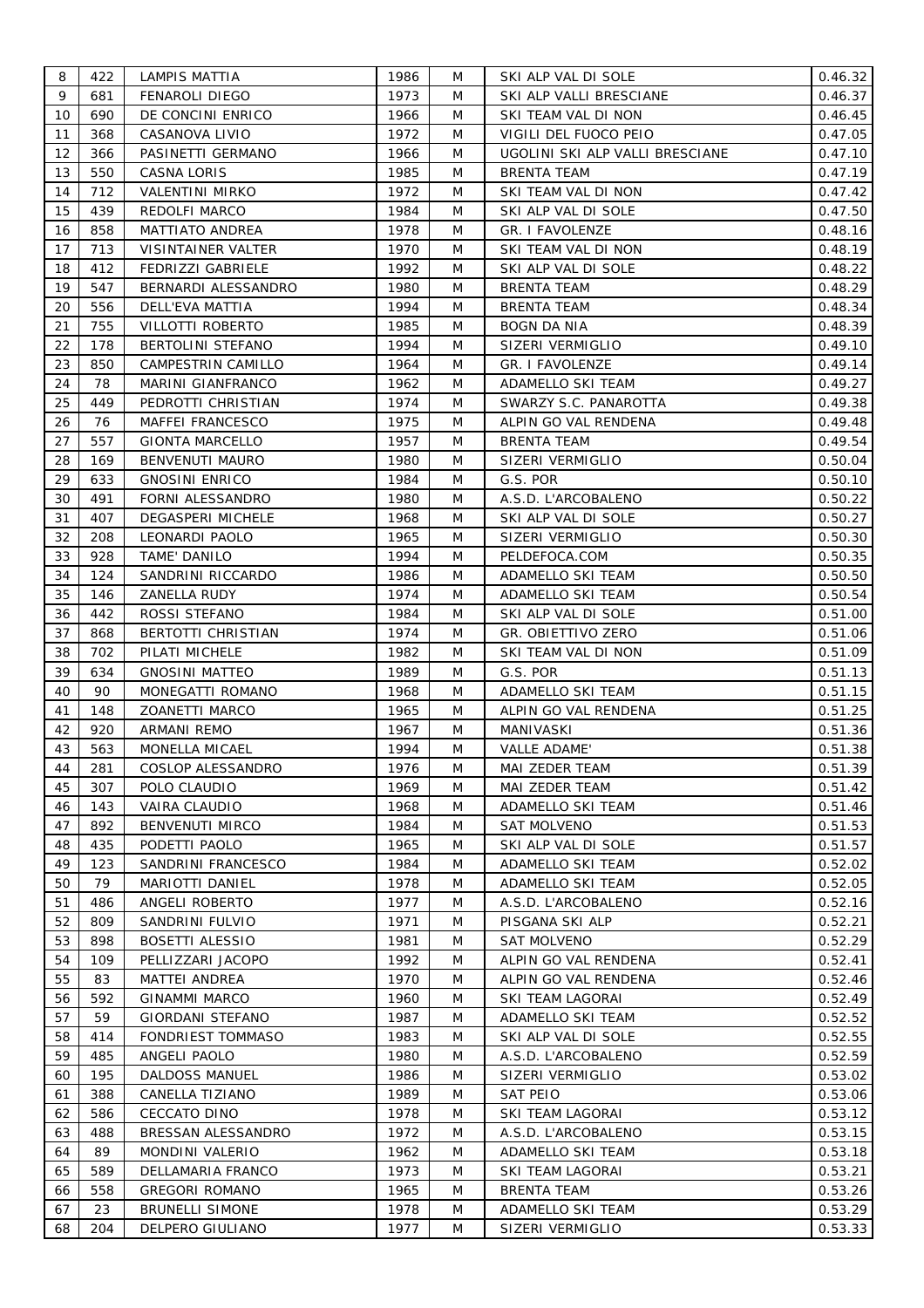| 8  | 422 | LAMPIS MATTIA           | 1986 | M | SKI ALP VAL DI SOLE             | 0.46.32 |
|----|-----|-------------------------|------|---|---------------------------------|---------|
| 9  | 681 | FENAROLI DIEGO          | 1973 | M | SKI ALP VALLI BRESCIANE         | 0.46.37 |
| 10 | 690 | DE CONCINI ENRICO       | 1966 | M | SKI TEAM VAL DI NON             | 0.46.45 |
| 11 | 368 | CASANOVA LIVIO          | 1972 | M | VIGILI DEL FUOCO PEIO           | 0.47.05 |
| 12 | 366 | PASINETTI GERMANO       | 1966 | M | UGOLINI SKI ALP VALLI BRESCIANE | 0.47.10 |
| 13 | 550 | CASNA LORIS             | 1985 | M | <b>BRENTA TEAM</b>              | 0.47.19 |
| 14 | 712 | <b>VALENTINI MIRKO</b>  | 1972 | M | SKI TEAM VAL DI NON             | 0.47.42 |
| 15 | 439 | REDOLFI MARCO           | 1984 | M | SKI ALP VAL DI SOLE             | 0.47.50 |
| 16 | 858 | MATTIATO ANDREA         | 1978 | M | GR. I FAVOLENZE                 | 0.48.16 |
| 17 | 713 | VISINTAINER VALTER      | 1970 | M | SKI TEAM VAL DI NON             | 0.48.19 |
| 18 | 412 | FEDRIZZI GABRIELE       | 1992 | M | SKI ALP VAL DI SOLE             | 0.48.22 |
| 19 | 547 | BERNARDI ALESSANDRO     | 1980 | M | <b>BRENTA TEAM</b>              | 0.48.29 |
| 20 | 556 | DELL'EVA MATTIA         | 1994 | M | <b>BRENTA TEAM</b>              | 0.48.34 |
| 21 | 755 | VILLOTTI ROBERTO        | 1985 | M | BOGN DA NIA                     | 0.48.39 |
| 22 | 178 | BERTOLINI STEFANO       | 1994 | M | SIZERI VERMIGLIO                | 0.49.10 |
| 23 | 850 | CAMPESTRIN CAMILLO      | 1964 | M | <b>GR. I FAVOLENZE</b>          | 0.49.14 |
| 24 | 78  | MARINI GIANFRANCO       | 1962 | M | ADAMELLO SKI TEAM               | 0.49.27 |
| 25 | 449 | PEDROTTI CHRISTIAN      | 1974 | M | SWARZY S.C. PANAROTTA           | 0.49.38 |
| 26 | 76  | <b>MAFFEI FRANCESCO</b> | 1975 | M | ALPIN GO VAL RENDENA            | 0.49.48 |
|    |     |                         |      |   |                                 |         |
| 27 | 557 | <b>GIONTA MARCELLO</b>  | 1957 | M | BRENTA TEAM                     | 0.49.54 |
| 28 | 169 | BENVENUTI MAURO         | 1980 | M | SIZERI VERMIGLIO                | 0.50.04 |
| 29 | 633 | <b>GNOSINI ENRICO</b>   | 1984 | M | G.S. POR                        | 0.50.10 |
| 30 | 491 | FORNI ALESSANDRO        | 1980 | M | A.S.D. L'ARCOBALENO             | 0.50.22 |
| 31 | 407 | DEGASPERI MICHELE       | 1968 | M | SKI ALP VAL DI SOLE             | 0.50.27 |
| 32 | 208 | LEONARDI PAOLO          | 1965 | M | SIZERI VERMIGLIO                | 0.50.30 |
| 33 | 928 | TAME' DANILO            | 1994 | M | PELDEFOCA.COM                   | 0.50.35 |
| 34 | 124 | SANDRINI RICCARDO       | 1986 | M | ADAMELLO SKI TEAM               | 0.50.50 |
| 35 | 146 | ZANELLA RUDY            | 1974 | M | ADAMELLO SKI TEAM               | 0.50.54 |
| 36 | 442 | ROSSI STEFANO           | 1984 | M | SKI ALP VAL DI SOLE             | 0.51.00 |
| 37 | 868 | BERTOTTI CHRISTIAN      | 1974 | M | GR. OBIETTIVO ZERO              | 0.51.06 |
| 38 | 702 | PILATI MICHELE          | 1982 | M | SKI TEAM VAL DI NON             | 0.51.09 |
| 39 | 634 | <b>GNOSINI MATTEO</b>   | 1989 | M | G.S. POR                        | 0.51.13 |
| 40 | 90  | MONEGATTI ROMANO        | 1968 | M | ADAMELLO SKI TEAM               | 0.51.15 |
| 41 | 148 | ZOANETTI MARCO          | 1965 | M | ALPIN GO VAL RENDENA            | 0.51.25 |
| 42 | 920 | ARMANI REMO             | 1967 | M | MANIVASKI                       | 0.51.36 |
| 43 | 563 | MONELLA MICAEL          | 1994 | M | VALLE ADAME'                    | 0.51.38 |
| 44 | 281 | COSLOP ALESSANDRO       | 1976 | M | MAI ZEDER TEAM                  | 0.51.39 |
| 45 | 307 | POLO CLAUDIO            | 1969 | M | MAI ZEDER TEAM                  | 0.51.42 |
| 46 | 143 | VAIRA CLAUDIO           | 1968 | M | ADAMELLO SKI TEAM               | 0.51.46 |
| 47 | 892 | BENVENUTI MIRCO         | 1984 | M | <b>SAT MOLVENO</b>              | 0.51.53 |
| 48 | 435 | PODETTI PAOLO           | 1965 | M | SKI ALP VAL DI SOLE             | 0.51.57 |
| 49 | 123 | SANDRINI FRANCESCO      | 1984 | M | ADAMELLO SKI TEAM               | 0.52.02 |
| 50 | 79  | MARIOTTI DANIEL         | 1978 | M | ADAMELLO SKI TEAM               | 0.52.05 |
| 51 | 486 | ANGELI ROBERTO          | 1977 | M | A.S.D. L'ARCOBALENO             | 0.52.16 |
| 52 | 809 | SANDRINI FULVIO         | 1971 | M | PISGANA SKI ALP                 | 0.52.21 |
| 53 | 898 | <b>BOSETTI ALESSIO</b>  | 1981 | M | <b>SAT MOLVENO</b>              | 0.52.29 |
| 54 | 109 | PELLIZZARI JACOPO       | 1992 | M | ALPIN GO VAL RENDENA            | 0.52.41 |
| 55 | 83  | <b>MATTEI ANDREA</b>    | 1970 | M | ALPIN GO VAL RENDENA            | 0.52.46 |
| 56 | 592 | <b>GINAMMI MARCO</b>    | 1960 | M | SKI TEAM LAGORAI                | 0.52.49 |
| 57 | 59  | GIORDANI STEFANO        | 1987 | M | ADAMELLO SKI TEAM               | 0.52.52 |
| 58 | 414 | FONDRIEST TOMMASO       | 1983 | M | SKI ALP VAL DI SOLE             | 0.52.55 |
| 59 | 485 | ANGELI PAOLO            | 1980 | M | A.S.D. L'ARCOBALENO             | 0.52.59 |
| 60 | 195 | DALDOSS MANUEL          | 1986 | M | SIZERI VERMIGLIO                | 0.53.02 |
| 61 | 388 | CANELLA TIZIANO         | 1989 | M | SAT PEIO                        | 0.53.06 |
| 62 | 586 | CECCATO DINO            | 1978 | M | SKI TEAM LAGORAI                | 0.53.12 |
|    |     |                         |      |   |                                 |         |
| 63 | 488 | BRESSAN ALESSANDRO      | 1972 | M | A.S.D. L'ARCOBALENO             | 0.53.15 |
| 64 | 89  | MONDINI VALERIO         | 1962 | M | ADAMELLO SKI TEAM               | 0.53.18 |
| 65 | 589 | DELLAMARIA FRANCO       | 1973 | M | SKI TEAM LAGORAI                | 0.53.21 |
| 66 | 558 | <b>GREGORI ROMANO</b>   | 1965 | M | <b>BRENTA TEAM</b>              | 0.53.26 |
| 67 | 23  | <b>BRUNELLI SIMONE</b>  | 1978 | M | ADAMELLO SKI TEAM               | 0.53.29 |
| 68 | 204 | DELPERO GIULIANO        | 1977 | M | SIZERI VERMIGLIO                | 0.53.33 |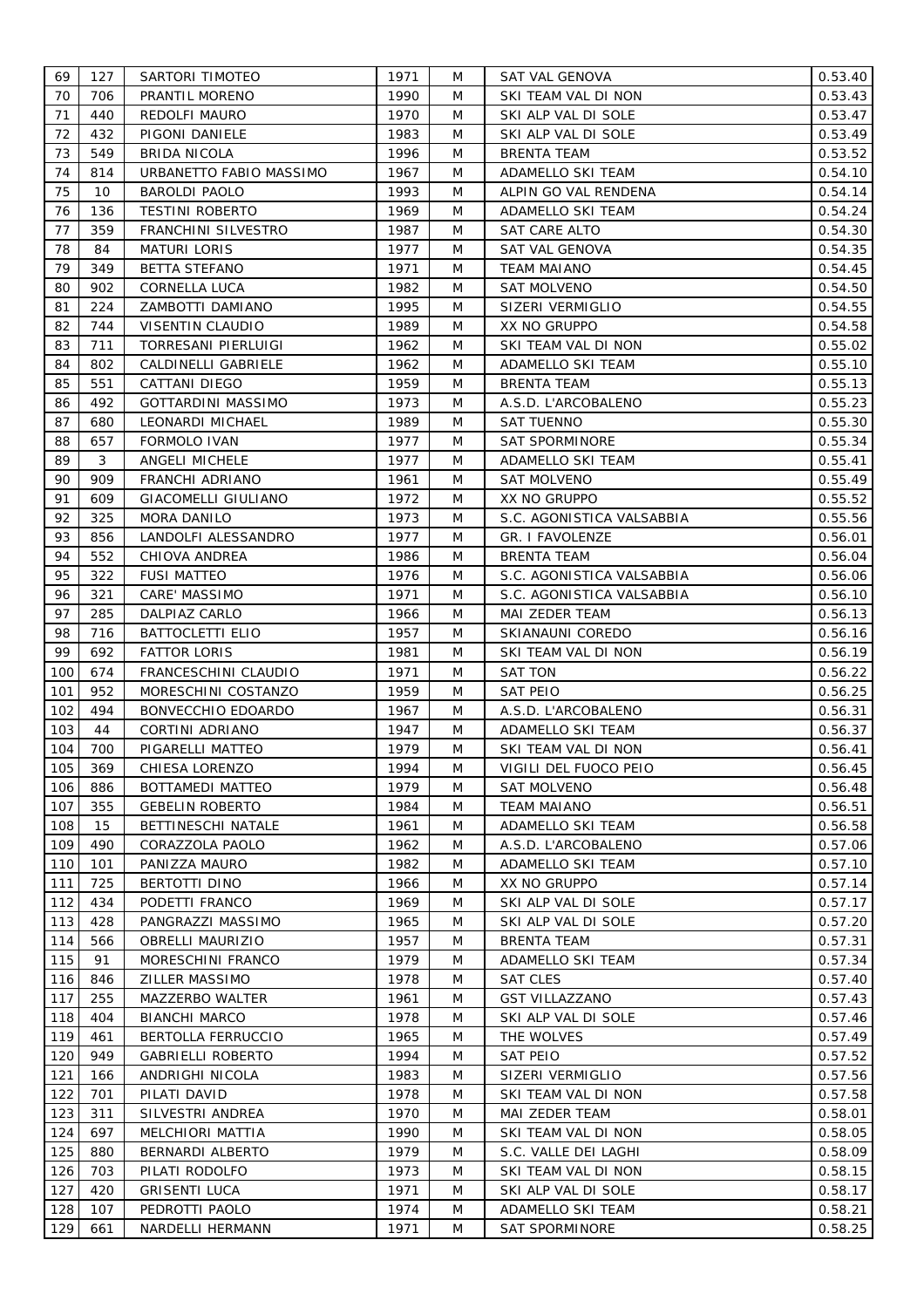| 69  | 127 | SARTORI TIMOTEO            | 1971         | M | SAT VAL GENOVA            | 0.53.40 |
|-----|-----|----------------------------|--------------|---|---------------------------|---------|
| 70  | 706 | PRANTIL MORENO             | 1990         | M | SKI TEAM VAL DI NON       | 0.53.43 |
| 71  | 440 | REDOLFI MAURO              | 1970         | M | SKI ALP VAL DI SOLE       | 0.53.47 |
| 72  | 432 | PIGONI DANIELE             | 1983         | M | SKI ALP VAL DI SOLE       | 0.53.49 |
| 73  | 549 | <b>BRIDA NICOLA</b>        | 1996         | M | <b>BRENTA TEAM</b>        | 0.53.52 |
| 74  | 814 | URBANETTO FABIO MASSIMO    | 1967         | M | ADAMELLO SKI TEAM         | 0.54.10 |
| 75  | 10  | <b>BAROLDI PAOLO</b>       | 1993         | M | ALPIN GO VAL RENDENA      | 0.54.14 |
| 76  | 136 | <b>TESTINI ROBERTO</b>     | 1969         | M | ADAMELLO SKI TEAM         | 0.54.24 |
| 77  | 359 | FRANCHINI SILVESTRO        | 1987         | M | SAT CARE ALTO             | 0.54.30 |
| 78  | 84  | <b>MATURI LORIS</b>        | 1977         | M | SAT VAL GENOVA            | 0.54.35 |
| 79  | 349 | <b>BETTA STEFANO</b>       | 1971         | M | <b>TEAM MAIANO</b>        | 0.54.45 |
| 80  | 902 | <b>CORNELLA LUCA</b>       | 1982         | M | SAT MOLVENO               | 0.54.50 |
| 81  | 224 | ZAMBOTTI DAMIANO           | 1995         | M | SIZERI VERMIGLIO          | 0.54.55 |
| 82  | 744 | VISENTIN CLAUDIO           | 1989         | M | XX NO GRUPPO              |         |
| 83  | 711 | TORRESANI PIERLUIGI        | 1962         | M | SKI TEAM VAL DI NON       | 0.54.58 |
|     |     |                            |              |   |                           | 0.55.02 |
| 84  | 802 | CALDINELLI GABRIELE        | 1962         | M | ADAMELLO SKI TEAM         | 0.55.10 |
| 85  | 551 | CATTANI DIEGO              | 1959         | M | <b>BRENTA TEAM</b>        | 0.55.13 |
| 86  | 492 | <b>GOTTARDINI MASSIMO</b>  | 1973         | M | A.S.D. L'ARCOBALENO       | 0.55.23 |
| 87  | 680 | LEONARDI MICHAEL           | 1989         | M | <b>SAT TUENNO</b>         | 0.55.30 |
| 88  | 657 | FORMOLO IVAN               | 1977         | M | <b>SAT SPORMINORE</b>     | 0.55.34 |
| 89  | 3   | ANGELI MICHELE             | 1977         | M | ADAMELLO SKI TEAM         | 0.55.41 |
| 90  | 909 | FRANCHI ADRIANO            | 1961         | M | <b>SAT MOLVENO</b>        | 0.55.49 |
| 91  | 609 | <b>GIACOMELLI GIULIANO</b> | 1972         | M | XX NO GRUPPO              | 0.55.52 |
| 92  | 325 | MORA DANILO                | 1973         | M | S.C. AGONISTICA VALSABBIA | 0.55.56 |
| 93  | 856 | LANDOLFI ALESSANDRO        | 1977         | M | GR. I FAVOLENZE           | 0.56.01 |
| 94  | 552 | CHIOVA ANDREA              | 1986         | M | <b>BRENTA TEAM</b>        | 0.56.04 |
| 95  | 322 | <b>FUSI MATTEO</b>         | 1976         | M | S.C. AGONISTICA VALSABBIA | 0.56.06 |
| 96  | 321 | CARE' MASSIMO              | 1971         | M | S.C. AGONISTICA VALSABBIA | 0.56.10 |
| 97  | 285 | DALPIAZ CARLO              | 1966         | M | MAI ZEDER TEAM            | 0.56.13 |
| 98  | 716 | <b>BATTOCLETTI ELIO</b>    | 1957         | M | SKIANAUNI COREDO          | 0.56.16 |
| 99  | 692 | <b>FATTOR LORIS</b>        | 1981         | M | SKI TEAM VAL DI NON       | 0.56.19 |
| 100 | 674 | FRANCESCHINI CLAUDIO       | 1971         | M | SAT TON                   | 0.56.22 |
| 101 | 952 | MORESCHINI COSTANZO        | 1959         | M | <b>SAT PEIO</b>           | 0.56.25 |
| 102 | 494 | BONVECCHIO EDOARDO         | 1967         | M | A.S.D. L'ARCOBALENO       | 0.56.31 |
| 103 | 44  | CORTINI ADRIANO            | 1947         | M | ADAMELLO SKI TEAM         | 0.56.37 |
| 104 | 700 | PIGARELLI MATTEO           | 1979         | M | SKI TEAM VAL DI NON       | 0.56.41 |
| 105 | 369 | CHIESA LORENZO             | 1994         | M | VIGILI DEL FUOCO PEIO     | 0.56.45 |
| 106 | 886 | BOTTAMEDI MATTEO           | 1979         | M | <b>SAT MOLVENO</b>        | 0.56.48 |
| 107 | 355 | <b>GEBELIN ROBERTO</b>     | 1984         | M | <b>TEAM MAIANO</b>        | 0.56.51 |
| 108 | 15  | <b>BETTINESCHI NATALE</b>  | 1961         | M | ADAMELLO SKI TEAM         | 0.56.58 |
| 109 | 490 | CORAZZOLA PAOLO            | 1962         | M | A.S.D. L'ARCOBALENO       | 0.57.06 |
| 110 | 101 | PANIZZA MAURO              | 1982         | M | ADAMELLO SKI TEAM         | 0.57.10 |
| 111 | 725 | BERTOTTI DINO              | 1966         | M | XX NO GRUPPO              | 0.57.14 |
| 112 | 434 | PODETTI FRANCO             | 1969         | M | SKI ALP VAL DI SOLE       | 0.57.17 |
| 113 | 428 | PANGRAZZI MASSIMO          | 1965         | M | SKI ALP VAL DI SOLE       | 0.57.20 |
| 114 | 566 | <b>OBRELLI MAURIZIO</b>    | 1957         | M | <b>BRENTA TEAM</b>        | 0.57.31 |
| 115 | 91  | MORESCHINI FRANCO          | 1979         | M | ADAMELLO SKI TEAM         | 0.57.34 |
| 116 | 846 | ZILLER MASSIMO             | 1978         | M | <b>SAT CLES</b>           | 0.57.40 |
| 117 | 255 | MAZZERBO WALTER            | 1961         | M | <b>GST VILLAZZANO</b>     | 0.57.43 |
| 118 | 404 | <b>BIANCHI MARCO</b>       | 1978         | M | SKI ALP VAL DI SOLE       | 0.57.46 |
| 119 | 461 | BERTOLLA FERRUCCIO         | 1965         | M | THE WOLVES                | 0.57.49 |
| 120 | 949 | <b>GABRIELLI ROBERTO</b>   | 1994         | M | SAT PEIO                  | 0.57.52 |
|     |     |                            |              |   |                           |         |
| 121 | 166 | ANDRIGHI NICOLA            | 1983<br>1978 | M | SIZERI VERMIGLIO          | 0.57.56 |
| 122 | 701 | PILATI DAVID               |              | M | SKI TEAM VAL DI NON       | 0.57.58 |
| 123 | 311 | SILVESTRI ANDREA           | 1970         | M | MAI ZEDER TEAM            | 0.58.01 |
| 124 | 697 | MELCHIORI MATTIA           | 1990         | M | SKI TEAM VAL DI NON       | 0.58.05 |
| 125 | 880 | BERNARDI ALBERTO           | 1979         | M | S.C. VALLE DEI LAGHI      | 0.58.09 |
| 126 | 703 | PILATI RODOLFO             | 1973         | M | SKI TEAM VAL DI NON       | 0.58.15 |
| 127 | 420 | <b>GRISENTI LUCA</b>       | 1971         | M | SKI ALP VAL DI SOLE       | 0.58.17 |
| 128 | 107 | PEDROTTI PAOLO             | 1974         | M | ADAMELLO SKI TEAM         | 0.58.21 |
| 129 | 661 | NARDELLI HERMANN           | 1971         | M | SAT SPORMINORE            | 0.58.25 |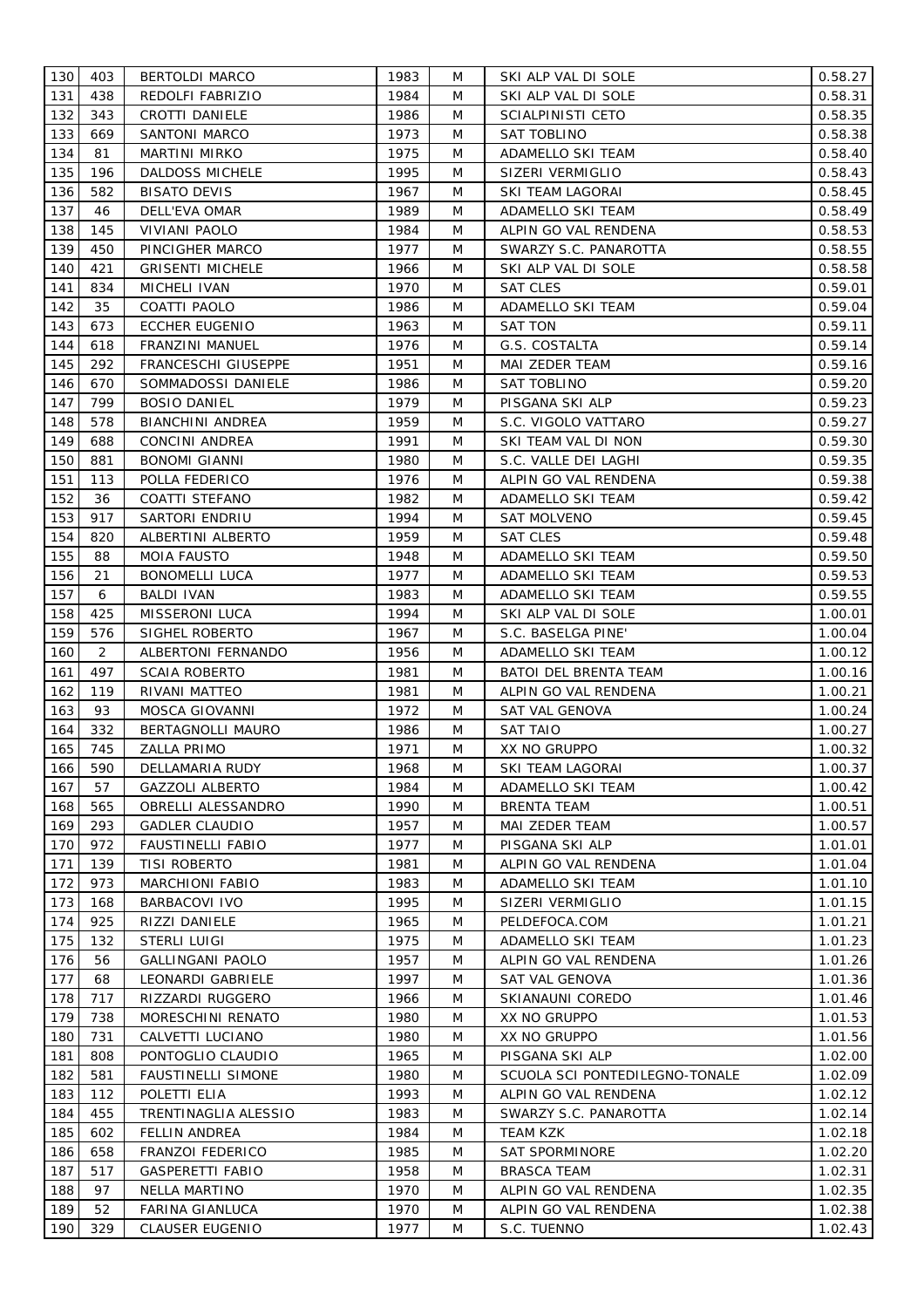| 130 | 403 | <b>BERTOLDI MARCO</b>     | 1983 | M | SKI ALP VAL DI SOLE            | 0.58.27 |
|-----|-----|---------------------------|------|---|--------------------------------|---------|
| 131 | 438 | REDOLFI FABRIZIO          | 1984 | M | SKI ALP VAL DI SOLE            | 0.58.31 |
| 132 | 343 | CROTTI DANIELE            | 1986 | M | SCIALPINISTI CETO              | 0.58.35 |
| 133 | 669 | SANTONI MARCO             | 1973 | M | SAT TOBLINO                    | 0.58.38 |
| 134 | 81  | MARTINI MIRKO             | 1975 | M | ADAMELLO SKI TEAM              | 0.58.40 |
| 135 | 196 | DALDOSS MICHELE           | 1995 | M | SIZERI VERMIGLIO               | 0.58.43 |
| 136 | 582 | <b>BISATO DEVIS</b>       | 1967 | M | SKI TEAM LAGORAI               | 0.58.45 |
| 137 | 46  | DELL'EVA OMAR             | 1989 | M | ADAMELLO SKI TEAM              | 0.58.49 |
| 138 | 145 | VIVIANI PAOLO             | 1984 | M | ALPIN GO VAL RENDENA           | 0.58.53 |
| 139 | 450 | PINCIGHER MARCO           | 1977 | M | SWARZY S.C. PANAROTTA          | 0.58.55 |
| 140 | 421 | <b>GRISENTI MICHELE</b>   | 1966 | M | SKI ALP VAL DI SOLE            | 0.58.58 |
| 141 | 834 | MICHELI IVAN              | 1970 | M | SAT CLES                       | 0.59.01 |
| 142 | 35  |                           | 1986 | M |                                | 0.59.04 |
| 143 | 673 | COATTI PAOLO              | 1963 | M | ADAMELLO SKI TEAM              | 0.59.11 |
| 144 |     | <b>ECCHER EUGENIO</b>     |      |   | SAT TON                        |         |
|     | 618 | FRANZINI MANUEL           | 1976 | M | G.S. COSTALTA                  | 0.59.14 |
| 145 | 292 | FRANCESCHI GIUSEPPE       | 1951 | M | MAI ZEDER TEAM                 | 0.59.16 |
| 146 | 670 | SOMMADOSSI DANIELE        | 1986 | M | SAT TOBLINO                    | 0.59.20 |
| 147 | 799 | <b>BOSIO DANIEL</b>       | 1979 | M | PISGANA SKI ALP                | 0.59.23 |
| 148 | 578 | <b>BIANCHINI ANDREA</b>   | 1959 | M | S.C. VIGOLO VATTARO            | 0.59.27 |
| 149 | 688 | CONCINI ANDREA            | 1991 | M | SKI TEAM VAL DI NON            | 0.59.30 |
| 150 | 881 | BONOMI GIANNI             | 1980 | M | S.C. VALLE DEI LAGHI           | 0.59.35 |
| 151 | 113 | POLLA FEDERICO            | 1976 | M | ALPIN GO VAL RENDENA           | 0.59.38 |
| 152 | 36  | COATTI STEFANO            | 1982 | M | ADAMELLO SKI TEAM              | 0.59.42 |
| 153 | 917 | SARTORI ENDRIU            | 1994 | M | <b>SAT MOLVENO</b>             | 0.59.45 |
| 154 | 820 | ALBERTINI ALBERTO         | 1959 | M | SAT CLES                       | 0.59.48 |
| 155 | 88  | <b>MOIA FAUSTO</b>        | 1948 | M | ADAMELLO SKI TEAM              | 0.59.50 |
| 156 | 21  | <b>BONOMELLI LUCA</b>     | 1977 | M | ADAMELLO SKI TEAM              | 0.59.53 |
| 157 | 6   | BALDI IVAN                | 1983 | M | ADAMELLO SKI TEAM              | 0.59.55 |
| 158 | 425 | MISSERONI LUCA            | 1994 | M | SKI ALP VAL DI SOLE            | 1.00.01 |
| 159 | 576 | SIGHEL ROBERTO            | 1967 | M | S.C. BASELGA PINE'             | 1.00.04 |
| 160 | 2   | ALBERTONI FERNANDO        | 1956 | M | ADAMELLO SKI TEAM              | 1.00.12 |
| 161 | 497 | <b>SCAIA ROBERTO</b>      | 1981 | M | <b>BATOI DEL BRENTA TEAM</b>   | 1.00.16 |
| 162 | 119 | RIVANI MATTEO             | 1981 | M | ALPIN GO VAL RENDENA           | 1.00.21 |
| 163 | 93  | MOSCA GIOVANNI            | 1972 | M | SAT VAL GENOVA                 | 1.00.24 |
| 164 | 332 | BERTAGNOLLI MAURO         | 1986 | M | <b>SAT TAIO</b>                | 1.00.27 |
| 165 | 745 | <b>ZALLA PRIMO</b>        | 1971 | M | XX NO GRUPPO                   | 1.00.32 |
| 166 | 590 | DELLAMARIA RUDY           | 1968 | M | SKI TEAM LAGORAI               | 1.00.37 |
| 167 | 57  | <b>GAZZOLI ALBERTO</b>    | 1984 | M | <b>ADAMELLO SKI TEAM</b>       | 1.00.42 |
| 168 | 565 | <b>OBRELLI ALESSANDRO</b> | 1990 | M | <b>BRENTA TEAM</b>             | 1.00.51 |
| 169 | 293 | <b>GADLER CLAUDIO</b>     | 1957 | M | MAI ZEDER TEAM                 | 1.00.57 |
| 170 | 972 | <b>FAUSTINELLI FABIO</b>  | 1977 | M | PISGANA SKI ALP                | 1.01.01 |
| 171 | 139 | <b>TISI ROBERTO</b>       | 1981 | M | ALPIN GO VAL RENDENA           | 1.01.04 |
| 172 | 973 | MARCHIONI FABIO           | 1983 | M | ADAMELLO SKI TEAM              |         |
| 173 |     |                           | 1995 | M |                                | 1.01.10 |
|     | 168 | BARBACOVI IVO             |      |   | SIZERI VERMIGLIO               | 1.01.15 |
| 174 | 925 | RIZZI DANIELE             | 1965 | M | PELDEFOCA.COM                  | 1.01.21 |
| 175 | 132 | STERLI LUIGI              | 1975 | M | ADAMELLO SKI TEAM              | 1.01.23 |
| 176 | 56  | <b>GALLINGANI PAOLO</b>   | 1957 | M | ALPIN GO VAL RENDENA           | 1.01.26 |
| 177 | 68  | LEONARDI GABRIELE         | 1997 | M | SAT VAL GENOVA                 | 1.01.36 |
| 178 | 717 | RIZZARDI RUGGERO          | 1966 | M | SKIANAUNI COREDO               | 1.01.46 |
| 179 | 738 | MORESCHINI RENATO         | 1980 | M | XX NO GRUPPO                   | 1.01.53 |
| 180 | 731 | CALVETTI LUCIANO          | 1980 | M | XX NO GRUPPO                   | 1.01.56 |
| 181 | 808 | PONTOGLIO CLAUDIO         | 1965 | M | PISGANA SKI ALP                | 1.02.00 |
| 182 | 581 | <b>FAUSTINELLI SIMONE</b> | 1980 | M | SCUOLA SCI PONTEDILEGNO-TONALE | 1.02.09 |
| 183 | 112 | POLETTI ELIA              | 1993 | M | ALPIN GO VAL RENDENA           | 1.02.12 |
| 184 | 455 | TRENTINAGLIA ALESSIO      | 1983 | M | SWARZY S.C. PANAROTTA          | 1.02.14 |
| 185 | 602 | <b>FELLIN ANDREA</b>      | 1984 | M | <b>TEAM KZK</b>                | 1.02.18 |
| 186 | 658 | FRANZOI FEDERICO          | 1985 | M | <b>SAT SPORMINORE</b>          | 1.02.20 |
| 187 | 517 | <b>GASPERETTI FABIO</b>   | 1958 | M | BRASCA TEAM                    | 1.02.31 |
| 188 | 97  | NELLA MARTINO             | 1970 | M | ALPIN GO VAL RENDENA           | 1.02.35 |
| 189 | 52  | FARINA GIANLUCA           | 1970 | M | ALPIN GO VAL RENDENA           | 1.02.38 |
| 190 | 329 | <b>CLAUSER EUGENIO</b>    | 1977 | M | S.C. TUENNO                    | 1.02.43 |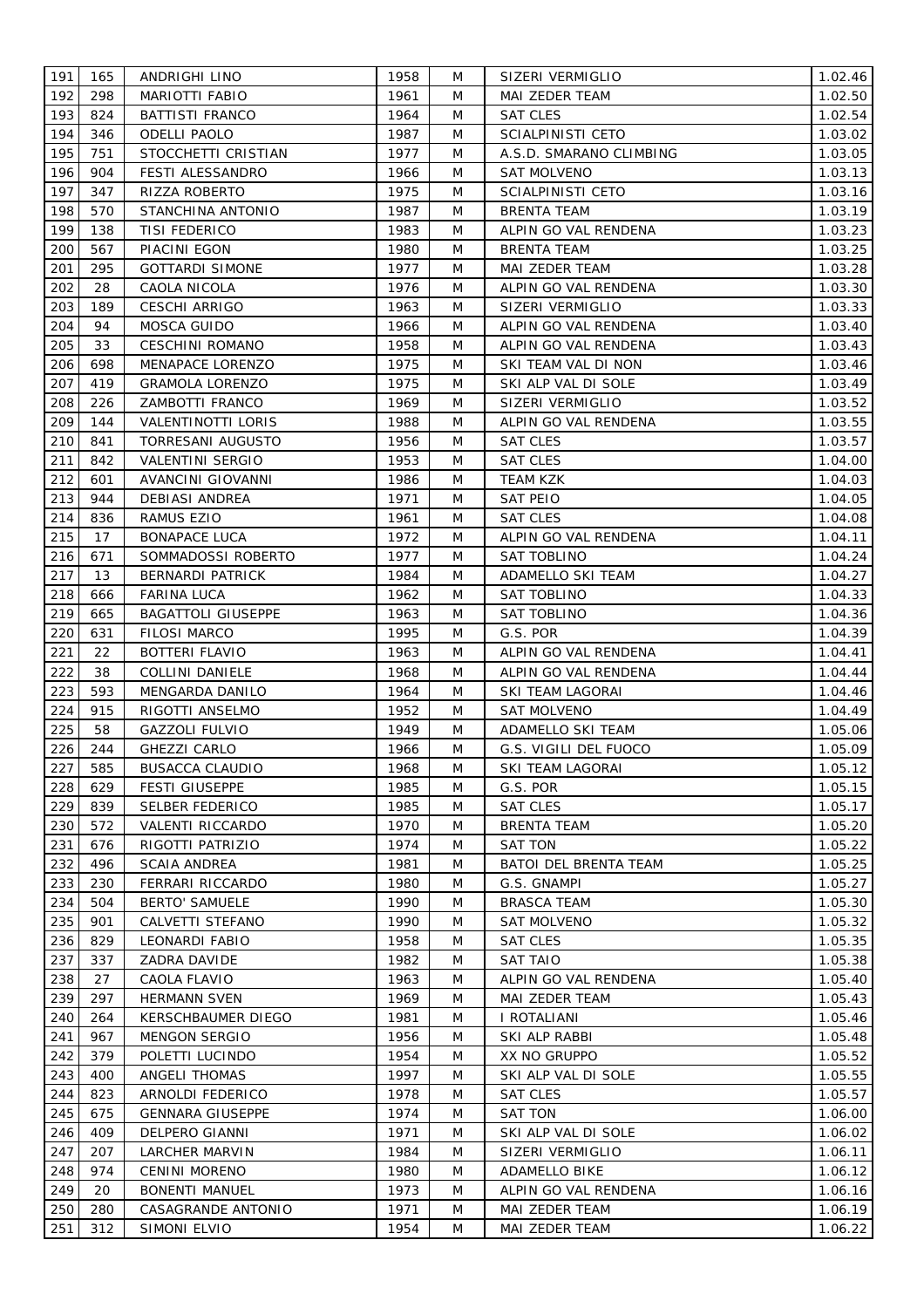| 191        | 165 | ANDRIGHI LINO             | 1958 | M      | SIZERI VERMIGLIO                         | 1.02.46            |
|------------|-----|---------------------------|------|--------|------------------------------------------|--------------------|
| 192        | 298 | MARIOTTI FABIO            | 1961 | M      | MAI ZEDER TEAM                           | 1.02.50            |
| 193        | 824 | <b>BATTISTI FRANCO</b>    | 1964 | M      | <b>SAT CLES</b>                          | 1.02.54            |
| 194        | 346 | <b>ODELLI PAOLO</b>       | 1987 | M      | <b>SCIALPINISTI CETO</b>                 | 1.03.02            |
| 195        | 751 | STOCCHETTI CRISTIAN       | 1977 | M      | A.S.D. SMARANO CLIMBING                  | 1.03.05            |
| 196        | 904 | FESTI ALESSANDRO          | 1966 | M      | <b>SAT MOLVENO</b>                       | 1.03.13            |
| 197        | 347 | RIZZA ROBERTO             | 1975 | M      | <b>SCIALPINISTI CETO</b>                 | 1.03.16            |
| 198        | 570 | STANCHINA ANTONIO         | 1987 | M      | <b>BRENTA TEAM</b>                       | 1.03.19            |
| 199        | 138 | <b>TISI FEDERICO</b>      | 1983 | M      | ALPIN GO VAL RENDENA                     | 1.03.23            |
| 200        | 567 | PIACINI EGON              | 1980 | M      | BRENTA TEAM                              | 1.03.25            |
| 201        | 295 | <b>GOTTARDI SIMONE</b>    | 1977 | M      | MAI ZEDER TEAM                           | 1.03.28            |
| 202        | 28  | CAOLA NICOLA              | 1976 | M      | ALPIN GO VAL RENDENA                     | 1.03.30            |
| 203        | 189 |                           | 1963 | M      |                                          |                    |
| 204        | 94  | <b>CESCHI ARRIGO</b>      | 1966 | M      | SIZERI VERMIGLIO<br>ALPIN GO VAL RENDENA | 1.03.33            |
| 205        | 33  | MOSCA GUIDO               |      |        |                                          | 1.03.40            |
|            |     | <b>CESCHINI ROMANO</b>    | 1958 | M      | ALPIN GO VAL RENDENA                     | 1.03.43            |
| 206        | 698 | MENAPACE LORENZO          | 1975 | M      | SKI TEAM VAL DI NON                      | 1.03.46            |
| 207        | 419 | <b>GRAMOLA LORENZO</b>    | 1975 | M      | SKI ALP VAL DI SOLE                      | 1.03.49            |
| 208        | 226 | ZAMBOTTI FRANCO           | 1969 | M      | SIZERI VERMIGLIO                         | 1.03.52            |
| 209        | 144 | <b>VALENTINOTTI LORIS</b> | 1988 | M      | ALPIN GO VAL RENDENA                     | 1.03.55            |
| 210        | 841 | TORRESANI AUGUSTO         | 1956 | M      | <b>SAT CLES</b>                          | 1.03.57            |
| 211        | 842 | VALENTINI SERGIO          | 1953 | M      | <b>SAT CLES</b>                          | 1.04.00            |
| 212        | 601 | AVANCINI GIOVANNI         | 1986 | M      | <b>TEAM KZK</b>                          | 1.04.03            |
| 213        | 944 | <b>DEBIASI ANDREA</b>     | 1971 | M      | <b>SAT PEIO</b>                          | 1.04.05            |
| 214        | 836 | RAMUS EZIO                | 1961 | M      | <b>SAT CLES</b>                          | 1.04.08            |
| 215        | 17  | <b>BONAPACE LUCA</b>      | 1972 | M      | ALPIN GO VAL RENDENA                     | 1.04.11            |
| 216        | 671 | SOMMADOSSI ROBERTO        | 1977 | M      | <b>SAT TOBLINO</b>                       | 1.04.24            |
| 217        | 13  | BERNARDI PATRICK          | 1984 | M      | ADAMELLO SKI TEAM                        | 1.04.27            |
| 218        | 666 | FARINA LUCA               | 1962 | M      | <b>SAT TOBLINO</b>                       | 1.04.33            |
| 219        | 665 | <b>BAGATTOLI GIUSEPPE</b> | 1963 | M      | <b>SAT TOBLINO</b>                       | 1.04.36            |
| 220        | 631 | <b>FILOSI MARCO</b>       | 1995 | M      | G.S. POR                                 | 1.04.39            |
| 221        | 22  | <b>BOTTERI FLAVIO</b>     | 1963 | M      | ALPIN GO VAL RENDENA                     | 1.04.41            |
| 222        | 38  | <b>COLLINI DANIELE</b>    | 1968 | M      | ALPIN GO VAL RENDENA                     | 1.04.44            |
| 223        | 593 | MENGARDA DANILO           | 1964 | M      | SKI TEAM LAGORAI                         | 1.04.46            |
| 224        | 915 | RIGOTTI ANSELMO           | 1952 | M      | SAT MOLVENO                              | 1.04.49            |
| 225        | 58  | GAZZOLI FULVIO            | 1949 | M      | ADAMELLO SKI TEAM                        | 1.05.06            |
| 226        | 244 | <b>GHEZZI CARLO</b>       | 1966 | M      | G.S. VIGILI DEL FUOCO                    | 1.05.09            |
| 227        | 585 | <b>BUSACCA CLAUDIO</b>    | 1968 | M      | SKI TEAM LAGORAI                         | 1.05.12            |
| 228        | 629 | <b>FESTI GIUSEPPE</b>     | 1985 | M      | G.S. POR                                 | 1.05.15            |
| 229        | 839 | <b>SELBER FEDERICO</b>    | 1985 | M      | <b>SAT CLES</b>                          | 1.05.17            |
| 230        | 572 | VALENTI RICCARDO          | 1970 | M      | <b>BRENTA TEAM</b>                       | 1.05.20            |
| 231        | 676 | RIGOTTI PATRIZIO          | 1974 | M      | <b>SAT TON</b>                           | 1.05.22            |
| 232        | 496 | <b>SCAIA ANDREA</b>       | 1981 | M      | BATOI DEL BRENTA TEAM                    | 1.05.25            |
| 233        | 230 | FERRARI RICCARDO          | 1980 | M      | G.S. GNAMPI                              | 1.05.27            |
| 234        | 504 | <b>BERTO' SAMUELE</b>     | 1990 | M      | <b>BRASCA TEAM</b>                       | 1.05.30            |
| 235        | 901 | CALVETTI STEFANO          | 1990 | M      | <b>SAT MOLVENO</b>                       | 1.05.32            |
|            | 829 | <b>LEONARDI FABIO</b>     | 1958 |        |                                          |                    |
| 236<br>237 | 337 | ZADRA DAVIDE              | 1982 | M<br>M | <b>SAT CLES</b><br><b>SAT TAIO</b>       | 1.05.35<br>1.05.38 |
| 238        |     |                           |      |        |                                          |                    |
|            | 27  | CAOLA FLAVIO              | 1963 | M      | ALPIN GO VAL RENDENA                     | 1.05.40            |
| 239        | 297 | <b>HERMANN SVEN</b>       | 1969 | M      | MAI ZEDER TEAM                           | 1.05.43            |
| 240        | 264 | KERSCHBAUMER DIEGO        | 1981 | M      | I ROTALIANI                              | 1.05.46            |
| 241        | 967 | MENGON SERGIO             | 1956 | M      | SKI ALP RABBI                            | 1.05.48            |
| 242        | 379 | POLETTI LUCINDO           | 1954 | M      | XX NO GRUPPO                             | 1.05.52            |
| 243        | 400 | ANGELI THOMAS             | 1997 | M      | SKI ALP VAL DI SOLE                      | 1.05.55            |
| 244        | 823 | ARNOLDI FEDERICO          | 1978 | M      | <b>SAT CLES</b>                          | 1.05.57            |
| 245        | 675 | <b>GENNARA GIUSEPPE</b>   | 1974 | M      | SAT TON                                  | 1.06.00            |
| 246        | 409 | DELPERO GIANNI            | 1971 | M      | SKI ALP VAL DI SOLE                      | 1.06.02            |
| 247        | 207 | <b>LARCHER MARVIN</b>     | 1984 | M      | SIZERI VERMIGLIO                         | 1.06.11            |
| 248        | 974 | <b>CENINI MORENO</b>      | 1980 | M      | ADAMELLO BIKE                            | 1.06.12            |
| 249        | 20  | <b>BONENTI MANUEL</b>     | 1973 | M      | ALPIN GO VAL RENDENA                     | 1.06.16            |
| 250        | 280 | CASAGRANDE ANTONIO        | 1971 | M      | MAI ZEDER TEAM                           | 1.06.19            |
| 251        | 312 | SIMONI ELVIO              | 1954 | M      | MAI ZEDER TEAM                           | 1.06.22            |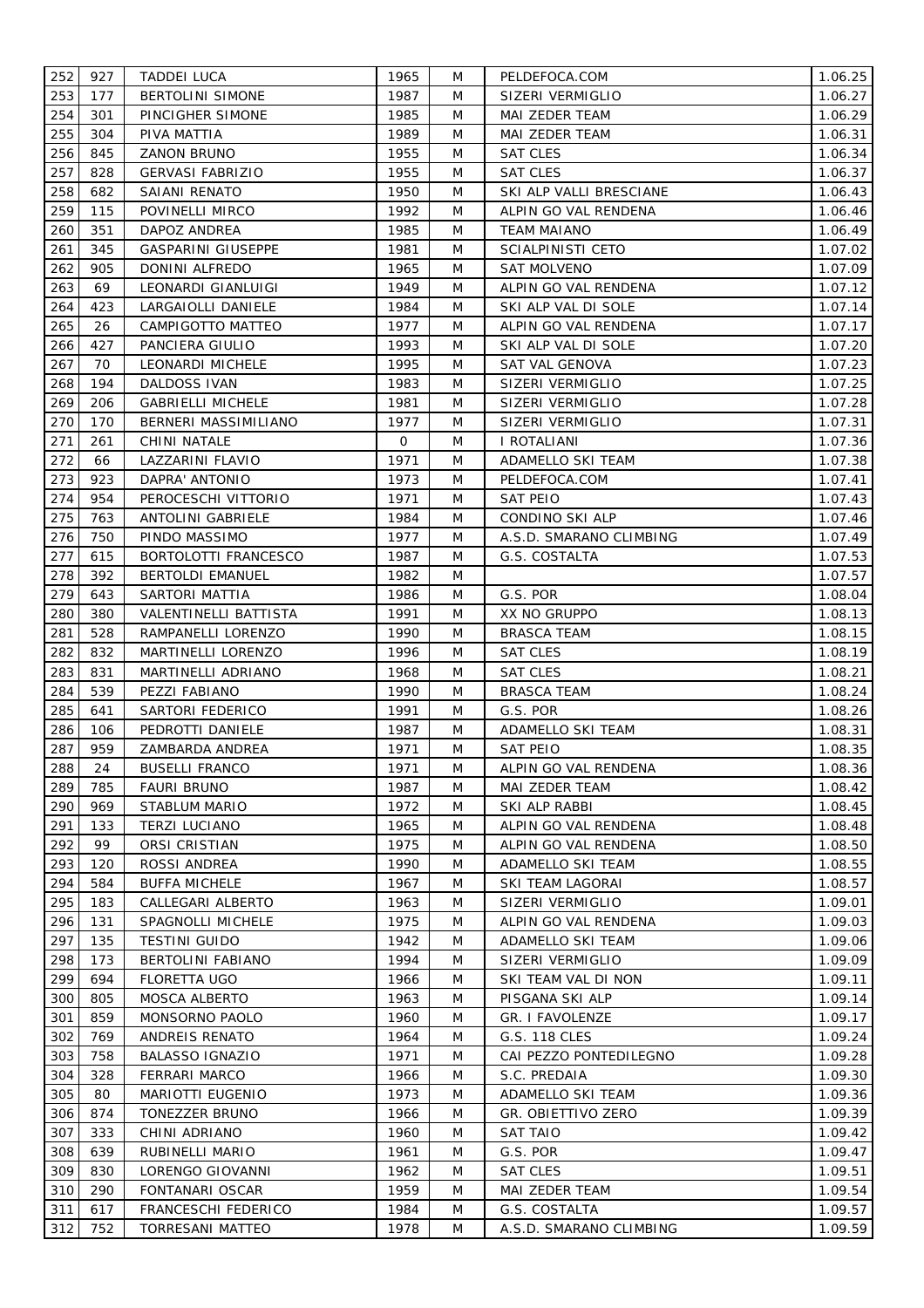| 252        | 927        | <b>TADDEI LUCA</b>       | 1965         | M | PELDEFOCA.COM           | 1.06.25 |
|------------|------------|--------------------------|--------------|---|-------------------------|---------|
| 253        | 177        | <b>BERTOLINI SIMONE</b>  | 1987         | M | SIZERI VERMIGLIO        | 1.06.27 |
| 254        | 301        | PINCIGHER SIMONE         | 1985         | M | MAI ZEDER TEAM          | 1.06.29 |
| 255        | 304        | PIVA MATTIA              | 1989         | M | MAI ZEDER TEAM          | 1.06.31 |
| 256        | 845        | <b>ZANON BRUNO</b>       | 1955         | M | <b>SAT CLES</b>         | 1.06.34 |
| 257        | 828        | <b>GERVASI FABRIZIO</b>  | 1955         | M | <b>SAT CLES</b>         | 1.06.37 |
| 258        | 682        | SAIANI RENATO            | 1950         | M | SKI ALP VALLI BRESCIANE | 1.06.43 |
| 259        | 115        | POVINELLI MIRCO          | 1992         | M | ALPIN GO VAL RENDENA    | 1.06.46 |
| 260        | 351        | DAPOZ ANDREA             | 1985         | M | <b>TEAM MAIANO</b>      | 1.06.49 |
| 261        | 345        | GASPARINI GIUSEPPE       | 1981         | M | SCIALPINISTI CETO       | 1.07.02 |
| 262        | 905        | DONINI ALFREDO           | 1965         | M | <b>SAT MOLVENO</b>      | 1.07.09 |
| 263        | 69         | LEONARDI GIANLUIGI       | 1949         | M | ALPIN GO VAL RENDENA    | 1.07.12 |
| 264        | 423        | LARGAIOLLI DANIELE       | 1984         | M | SKI ALP VAL DI SOLE     |         |
| 265        | 26         |                          | 1977         | M | ALPIN GO VAL RENDENA    | 1.07.14 |
|            | 427        | CAMPIGOTTO MATTEO        |              |   |                         | 1.07.17 |
| 266        |            | PANCIERA GIULIO          | 1993         | M | SKI ALP VAL DI SOLE     | 1.07.20 |
| 267        | 70         | LEONARDI MICHELE         | 1995         | M | SAT VAL GENOVA          | 1.07.23 |
| 268        | 194        | DALDOSS IVAN             | 1983         | M | SIZERI VERMIGLIO        | 1.07.25 |
| 269        | 206        | <b>GABRIELLI MICHELE</b> | 1981         | M | SIZERI VERMIGLIO        | 1.07.28 |
| 270        | 170        | BERNERI MASSIMILIANO     | 1977         | M | SIZERI VERMIGLIO        | 1.07.31 |
| 271        | 261        | CHINI NATALE             | 0            | M | I ROTALIANI             | 1.07.36 |
| 272        | 66         | LAZZARINI FLAVIO         | 1971         | M | ADAMELLO SKI TEAM       | 1.07.38 |
| 273        | 923        | DAPRA' ANTONIO           | 1973         | M | PELDEFOCA.COM           | 1.07.41 |
| 274        | 954        | PEROCESCHI VITTORIO      | 1971         | M | SAT PEIO                | 1.07.43 |
| 275        | 763        | ANTOLINI GABRIELE        | 1984         | M | CONDINO SKI ALP         | 1.07.46 |
| 276        | 750        | PINDO MASSIMO            | 1977         | M | A.S.D. SMARANO CLIMBING | 1.07.49 |
| 277        | 615        | BORTOLOTTI FRANCESCO     | 1987         | M | G.S. COSTALTA           | 1.07.53 |
| 278        | 392        | <b>BERTOLDI EMANUEL</b>  | 1982         | M |                         | 1.07.57 |
| 279        | 643        | SARTORI MATTIA           | 1986         | M | G.S. POR                | 1.08.04 |
| 280        | 380        | VALENTINELLI BATTISTA    | 1991         | M | XX NO GRUPPO            | 1.08.13 |
| 281        | 528        | RAMPANELLI LORENZO       | 1990         | M | <b>BRASCA TEAM</b>      | 1.08.15 |
| 282        | 832        | MARTINELLI LORENZO       | 1996         | M | <b>SAT CLES</b>         | 1.08.19 |
| 283        | 831        | MARTINELLI ADRIANO       | 1968         | M | <b>SAT CLES</b>         | 1.08.21 |
| 284        | 539        | PEZZI FABIANO            | 1990         | M | <b>BRASCA TEAM</b>      | 1.08.24 |
| 285        | 641        | SARTORI FEDERICO         | 1991         | M | G.S. POR                | 1.08.26 |
| 286        | 106        | PEDROTTI DANIELE         | 1987         | M | ADAMELLO SKI TEAM       | 1.08.31 |
| 287        | 959        | ZAMBARDA ANDREA          | 1971         | M | <b>SAT PEIO</b>         | 1.08.35 |
| 288        | 24         | <b>BUSELLI FRANCO</b>    | 1971         | M | ALPIN GO VAL RENDENA    | 1.08.36 |
| 289        | 785        | <b>FAURI BRUNO</b>       | 1987         | M | MAI ZEDER TEAM          | 1.08.42 |
| 290        | 969        | STABLUM MARIO            | 1972         | M | SKI ALP RABBI           | 1.08.45 |
| 291        | 133        | <b>TERZI LUCIANO</b>     | 1965         | M | ALPIN GO VAL RENDENA    | 1.08.48 |
| 292        | 99         | ORSI CRISTIAN            | 1975         | M | ALPIN GO VAL RENDENA    | 1.08.50 |
| 293        | 120        | ROSSI ANDREA             | 1990         | M | ADAMELLO SKI TEAM       | 1.08.55 |
| 294        | 584        | <b>BUFFA MICHELE</b>     | 1967         | M | SKI TEAM LAGORAI        | 1.08.57 |
| 295        | 183        | CALLEGARI ALBERTO        | 1963         | M | SIZERI VERMIGLIO        | 1.09.01 |
|            |            |                          |              |   |                         |         |
| 296        | 131        | SPAGNOLLI MICHELE        | 1975         | M | ALPIN GO VAL RENDENA    | 1.09.03 |
| 297<br>298 | 135<br>173 | <b>TESTINI GUIDO</b>     | 1942<br>1994 | M | ADAMELLO SKI TEAM       | 1.09.06 |
|            |            | <b>BERTOLINI FABIANO</b> |              | M | SIZERI VERMIGLIO        | 1.09.09 |
| 299        | 694        | FLORETTA UGO             | 1966         | M | SKI TEAM VAL DI NON     | 1.09.11 |
| 300        | 805        | MOSCA ALBERTO            | 1963         | M | PISGANA SKI ALP         | 1.09.14 |
| 301        | 859        | MONSORNO PAOLO           | 1960         | M | GR. I FAVOLENZE         | 1.09.17 |
| 302        | 769        | ANDREIS RENATO           | 1964         | M | G.S. 118 CLES           | 1.09.24 |
| 303        | 758        | <b>BALASSO IGNAZIO</b>   | 1971         | M | CAI PEZZO PONTEDILEGNO  | 1.09.28 |
| 304        | 328        | <b>FERRARI MARCO</b>     | 1966         | M | S.C. PREDAIA            | 1.09.30 |
| 305        | 80         | MARIOTTI EUGENIO         | 1973         | M | ADAMELLO SKI TEAM       | 1.09.36 |
| 306        | 874        | TONEZZER BRUNO           | 1966         | M | GR. OBIETTIVO ZERO      | 1.09.39 |
| 307        | 333        | CHINI ADRIANO            | 1960         | M | <b>SAT TAIO</b>         | 1.09.42 |
| 308        | 639        | RUBINELLI MARIO          | 1961         | M | G.S. POR                | 1.09.47 |
| 309        | 830        | LORENGO GIOVANNI         | 1962         | M | <b>SAT CLES</b>         | 1.09.51 |
| 310        | 290        | FONTANARI OSCAR          | 1959         | M | MAI ZEDER TEAM          | 1.09.54 |
| 311        | 617        | FRANCESCHI FEDERICO      | 1984         | M | G.S. COSTALTA           | 1.09.57 |
| 312        | 752        | TORRESANI MATTEO         | 1978         | M | A.S.D. SMARANO CLIMBING | 1.09.59 |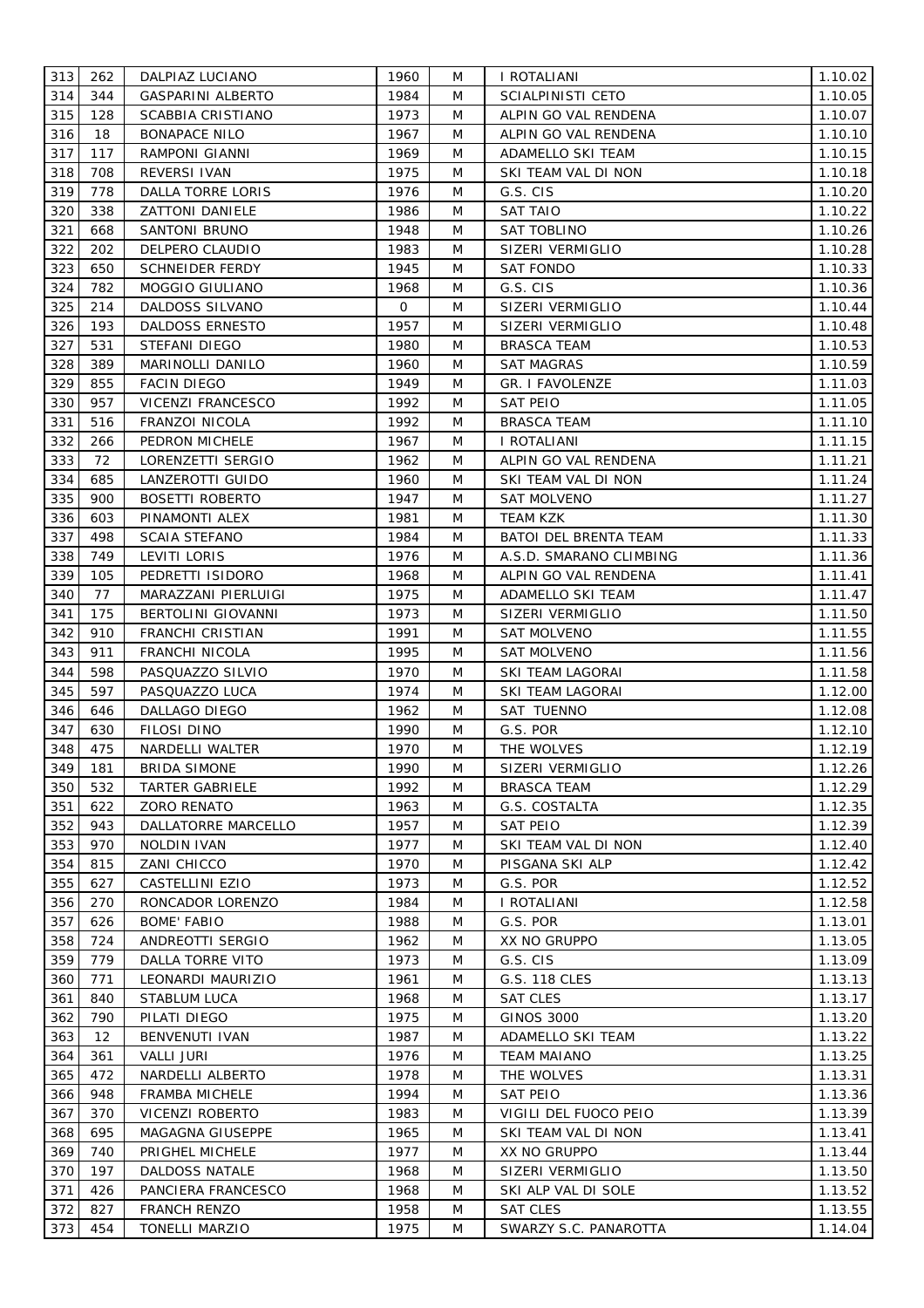| 313 | 262               | DALPIAZ LUCIANO          | 1960 | M | I ROTALIANI             | 1.10.02 |
|-----|-------------------|--------------------------|------|---|-------------------------|---------|
| 314 | 344               | <b>GASPARINI ALBERTO</b> | 1984 | M | SCIALPINISTI CETO       | 1.10.05 |
| 315 | 128               | SCABBIA CRISTIANO        | 1973 | M | ALPIN GO VAL RENDENA    | 1.10.07 |
| 316 | 18                | <b>BONAPACE NILO</b>     | 1967 | M | ALPIN GO VAL RENDENA    | 1.10.10 |
| 317 | 117               | RAMPONI GIANNI           | 1969 | M | ADAMELLO SKI TEAM       | 1.10.15 |
| 318 | 708               | REVERSI IVAN             | 1975 | M | SKI TEAM VAL DI NON     | 1.10.18 |
| 319 | 778               | DALLA TORRE LORIS        | 1976 | M | G.S. CIS                | 1.10.20 |
| 320 | 338               | ZATTONI DANIELE          | 1986 | M | SAT TAIO                | 1.10.22 |
| 321 | 668               | SANTONI BRUNO            | 1948 | M | SAT TOBLINO             | 1.10.26 |
| 322 | 202               | DELPERO CLAUDIO          | 1983 | M | SIZERI VERMIGLIO        | 1.10.28 |
| 323 | 650               | <b>SCHNEIDER FERDY</b>   | 1945 | M | SAT FONDO               | 1.10.33 |
| 324 | 782               | MOGGIO GIULIANO          | 1968 | M | G.S. CIS                | 1.10.36 |
| 325 | 214               | DALDOSS SILVANO          | 0    | M | SIZERI VERMIGLIO        | 1.10.44 |
| 326 | 193               | <b>DALDOSS ERNESTO</b>   | 1957 | M | SIZERI VERMIGLIO        | 1.10.48 |
| 327 | 531               | STEFANI DIEGO            | 1980 | M | <b>BRASCA TEAM</b>      | 1.10.53 |
| 328 | 389               | MARINOLLI DANILO         | 1960 | M | SAT MAGRAS              | 1.10.59 |
| 329 | 855               | FACIN DIEGO              | 1949 | M | <b>GR. I FAVOLENZE</b>  | 1.11.03 |
| 330 | 957               | VICENZI FRANCESCO        | 1992 | M | <b>SAT PEIO</b>         | 1.11.05 |
| 331 | 516               | FRANZOI NICOLA           | 1992 | M | <b>BRASCA TEAM</b>      | 1.11.10 |
| 332 | 266               | PEDRON MICHELE           | 1967 | M | I ROTALIANI             | 1.11.15 |
| 333 | 72                | LORENZETTI SERGIO        | 1962 | M | ALPIN GO VAL RENDENA    | 1.11.21 |
| 334 | 685               | LANZEROTTI GUIDO         | 1960 | M | SKI TEAM VAL DI NON     | 1.11.24 |
| 335 | 900               | <b>BOSETTI ROBERTO</b>   | 1947 | M | <b>SAT MOLVENO</b>      | 1.11.27 |
| 336 | 603               | PINAMONTI ALEX           | 1981 | M | TEAM KZK                | 1.11.30 |
| 337 | 498               | <b>SCAIA STEFANO</b>     | 1984 | M | BATOI DEL BRENTA TEAM   | 1.11.33 |
| 338 | 749               | LEVITI LORIS             | 1976 | M | A.S.D. SMARANO CLIMBING | 1.11.36 |
| 339 | 105               | PEDRETTI ISIDORO         | 1968 | M | ALPIN GO VAL RENDENA    | 1.11.41 |
| 340 | 77                | MARAZZANI PIERLUIGI      | 1975 | M | ADAMELLO SKI TEAM       | 1.11.47 |
| 341 | 175               | BERTOLINI GIOVANNI       | 1973 | M | SIZERI VERMIGLIO        | 1.11.50 |
| 342 | 910               | FRANCHI CRISTIAN         | 1991 | M | SAT MOLVENO             | 1.11.55 |
| 343 | 911               | FRANCHI NICOLA           | 1995 | M | <b>SAT MOLVENO</b>      | 1.11.56 |
| 344 | 598               | PASQUAZZO SILVIO         | 1970 | M | SKI TEAM LAGORAI        | 1.11.58 |
| 345 | 597               | PASQUAZZO LUCA           | 1974 | M | SKI TEAM LAGORAI        | 1.12.00 |
| 346 | 646               | DALLAGO DIEGO            | 1962 | M | SAT TUENNO              | 1.12.08 |
| 347 | 630               | FILOSI DINO              | 1990 | M | G.S. POR                | 1.12.10 |
| 348 | 475               | NARDELLI WALTER          | 1970 | M | THE WOLVES              | 1.12.19 |
| 349 | 181               | <b>BRIDA SIMONE</b>      | 1990 | M | SIZERI VERMIGLIO        | 1.12.26 |
| 350 | 532               | <b>TARTER GABRIELE</b>   | 1992 | M | <b>BRASCA TEAM</b>      | 1.12.29 |
| 351 | 622               | <b>ZORO RENATO</b>       | 1963 | M | G.S. COSTALTA           | 1.12.35 |
| 352 | 943               | DALLATORRE MARCELLO      | 1957 | M | <b>SAT PEIO</b>         | 1.12.39 |
| 353 | 970               | NOLDIN IVAN              | 1977 | M | SKI TEAM VAL DI NON     | 1.12.40 |
| 354 | 815               | ZANI CHICCO              | 1970 | M | PISGANA SKI ALP         | 1.12.42 |
| 355 | 627               | CASTELLINI EZIO          | 1973 | M | G.S. POR                | 1.12.52 |
| 356 | 270               | RONCADOR LORENZO         | 1984 | M | I ROTALIANI             | 1.12.58 |
| 357 | 626               | <b>BOME' FABIO</b>       | 1988 | M | G.S. POR                | 1.13.01 |
| 358 | 724               | ANDREOTTI SERGIO         | 1962 | M | XX NO GRUPPO            | 1.13.05 |
| 359 | 779               | DALLA TORRE VITO         | 1973 | M | G.S. CIS                | 1.13.09 |
| 360 | 771               | LEONARDI MAURIZIO        | 1961 | M | G.S. 118 CLES           | 1.13.13 |
| 361 | 840               | STABLUM LUCA             | 1968 | M | <b>SAT CLES</b>         | 1.13.17 |
| 362 | 790               | PILATI DIEGO             | 1975 | M | <b>GINOS 3000</b>       | 1.13.20 |
| 363 | $12 \overline{ }$ | BENVENUTI IVAN           | 1987 | M | ADAMELLO SKI TEAM       | 1.13.22 |
| 364 | 361               | <b>VALLI JURI</b>        | 1976 | M | <b>TEAM MAIANO</b>      | 1.13.25 |
| 365 | 472               | NARDELLI ALBERTO         | 1978 | M | THE WOLVES              | 1.13.31 |
| 366 | 948               | FRAMBA MICHELE           | 1994 | M | <b>SAT PEIO</b>         | 1.13.36 |
| 367 | 370               | VICENZI ROBERTO          | 1983 | M | VIGILI DEL FUOCO PEIO   | 1.13.39 |
| 368 | 695               | MAGAGNA GIUSEPPE         | 1965 | M | SKI TEAM VAL DI NON     | 1.13.41 |
| 369 | 740               | PRIGHEL MICHELE          | 1977 | M | XX NO GRUPPO            | 1.13.44 |
| 370 | 197               | DALDOSS NATALE           | 1968 | M | SIZERI VERMIGLIO        | 1.13.50 |
| 371 | 426               | PANCIERA FRANCESCO       | 1968 | M | SKI ALP VAL DI SOLE     | 1.13.52 |
| 372 | 827               | <b>FRANCH RENZO</b>      | 1958 | M | <b>SAT CLES</b>         | 1.13.55 |
| 373 | 454               | <b>TONELLI MARZIO</b>    | 1975 | M | SWARZY S.C. PANAROTTA   | 1.14.04 |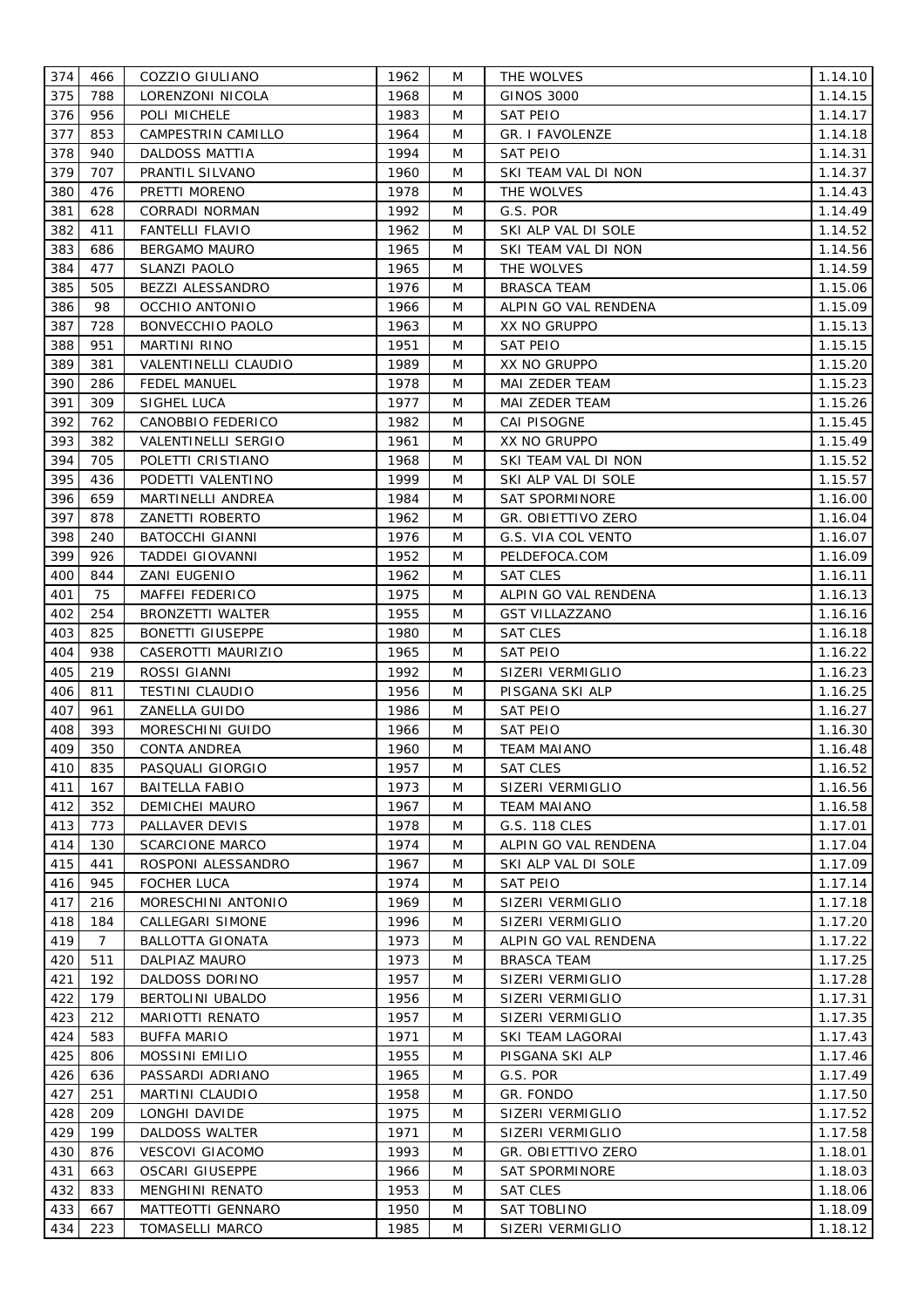| 374 | 466            | COZZIO GIULIANO         | 1962 | M | THE WOLVES             | 1.14.10 |
|-----|----------------|-------------------------|------|---|------------------------|---------|
| 375 | 788            | LORENZONI NICOLA        | 1968 | M | GINOS 3000             | 1.14.15 |
| 376 | 956            | POLI MICHELE            | 1983 | M | <b>SAT PEIO</b>        | 1.14.17 |
| 377 | 853            | CAMPESTRIN CAMILLO      | 1964 | M | <b>GR. I FAVOLENZE</b> | 1.14.18 |
| 378 | 940            | <b>DALDOSS MATTIA</b>   | 1994 | M | SAT PEIO               | 1.14.31 |
| 379 | 707            | PRANTIL SILVANO         | 1960 | M | SKI TEAM VAL DI NON    | 1.14.37 |
| 380 | 476            | PRETTI MORENO           | 1978 | M | THE WOLVES             | 1.14.43 |
| 381 | 628            | CORRADI NORMAN          | 1992 | M | G.S. POR               | 1.14.49 |
| 382 | 411            | FANTELLI FLAVIO         | 1962 | M | SKI ALP VAL DI SOLE    | 1.14.52 |
| 383 | 686            | <b>BERGAMO MAURO</b>    | 1965 | M | SKI TEAM VAL DI NON    | 1.14.56 |
| 384 | 477            | SLANZI PAOLO            | 1965 | M | THE WOLVES             | 1.14.59 |
| 385 | 505            | BEZZI ALESSANDRO        | 1976 | M | BRASCA TEAM            | 1.15.06 |
| 386 | 98             | OCCHIO ANTONIO          | 1966 | M | ALPIN GO VAL RENDENA   | 1.15.09 |
| 387 | 728            | BONVECCHIO PAOLO        | 1963 | M | XX NO GRUPPO           | 1.15.13 |
| 388 | 951            | MARTINI RINO            | 1951 | M | SAT PEIO               | 1.15.15 |
| 389 | 381            | VALENTINELLI CLAUDIO    | 1989 | M | XX NO GRUPPO           | 1.15.20 |
| 390 | 286            | <b>FEDEL MANUEL</b>     | 1978 | M | MAI ZEDER TEAM         | 1.15.23 |
| 391 | 309            | SIGHEL LUCA             | 1977 | M | MAI ZEDER TEAM         | 1.15.26 |
| 392 | 762            | CANOBBIO FEDERICO       | 1982 | M | CAI PISOGNE            | 1.15.45 |
| 393 | 382            | VALENTINELLI SERGIO     | 1961 | M | XX NO GRUPPO           | 1.15.49 |
| 394 | 705            | POLETTI CRISTIANO       | 1968 | M | SKI TEAM VAL DI NON    | 1.15.52 |
| 395 | 436            | PODETTI VALENTINO       | 1999 | M | SKI ALP VAL DI SOLE    | 1.15.57 |
| 396 | 659            | MARTINELLI ANDREA       | 1984 | M | SAT SPORMINORE         | 1.16.00 |
| 397 | 878            | ZANETTI ROBERTO         | 1962 | M | GR. OBIETTIVO ZERO     | 1.16.04 |
| 398 | 240            | BATOCCHI GIANNI         | 1976 | M | G.S. VIA COL VENTO     | 1.16.07 |
| 399 | 926            | TADDEI GIOVANNI         | 1952 | M | PELDEFOCA.COM          | 1.16.09 |
| 400 | 844            | ZANI EUGENIO            | 1962 | M | SAT CLES               | 1.16.11 |
| 401 | 75             | <b>MAFFEI FEDERICO</b>  | 1975 | M | ALPIN GO VAL RENDENA   | 1.16.13 |
| 402 | 254            | BRONZETTI WALTER        | 1955 | M | <b>GST VILLAZZANO</b>  | 1.16.16 |
| 403 | 825            | <b>BONETTI GIUSEPPE</b> | 1980 | M | <b>SAT CLES</b>        | 1.16.18 |
| 404 | 938            | CASEROTTI MAURIZIO      | 1965 | M | <b>SAT PEIO</b>        | 1.16.22 |
| 405 | 219            | ROSSI GIANNI            | 1992 | M | SIZERI VERMIGLIO       | 1.16.23 |
| 406 | 811            | <b>TESTINI CLAUDIO</b>  | 1956 | M | PISGANA SKI ALP        | 1.16.25 |
| 407 | 961            | ZANELLA GUIDO           | 1986 | M | SAT PEIO               | 1.16.27 |
| 408 | 393            | MORESCHINI GUIDO        | 1966 | M | <b>SAT PEIO</b>        | 1.16.30 |
| 409 | 350            | <b>CONTA ANDREA</b>     | 1960 | M | <b>TEAM MAIANO</b>     | 1.16.48 |
| 410 | 835            | PASQUALI GIORGIO        | 1957 | M | <b>SAT CLES</b>        | 1.16.52 |
| 411 | 167            | <b>BAITELLA FABIO</b>   | 1973 | M | SIZERI VERMIGLIO       | 1.16.56 |
| 412 | 352            | <b>DEMICHEI MAURO</b>   | 1967 | M | <b>TEAM MAIANO</b>     | 1.16.58 |
| 413 | 773            | PALLAVER DEVIS          | 1978 | M | G.S. 118 CLES          | 1.17.01 |
| 414 | 130            | <b>SCARCIONE MARCO</b>  | 1974 | M | ALPIN GO VAL RENDENA   | 1.17.04 |
| 415 | 441            | ROSPONI ALESSANDRO      | 1967 | M | SKI ALP VAL DI SOLE    | 1.17.09 |
| 416 | 945            | <b>FOCHER LUCA</b>      | 1974 | M | <b>SAT PEIO</b>        | 1.17.14 |
| 417 | 216            | MORESCHINI ANTONIO      | 1969 | M | SIZERI VERMIGLIO       | 1.17.18 |
| 418 | 184            | CALLEGARI SIMONE        | 1996 | M | SIZERI VERMIGLIO       | 1.17.20 |
| 419 | $\overline{7}$ | <b>BALLOTTA GIONATA</b> | 1973 | M | ALPIN GO VAL RENDENA   | 1.17.22 |
| 420 | 511            | DALPIAZ MAURO           | 1973 | M | <b>BRASCA TEAM</b>     | 1.17.25 |
| 421 | 192            | DALDOSS DORINO          | 1957 | M | SIZERI VERMIGLIO       | 1.17.28 |
| 422 | 179            | BERTOLINI UBALDO        | 1956 | M | SIZERI VERMIGLIO       | 1.17.31 |
| 423 | 212            | MARIOTTI RENATO         | 1957 | M | SIZERI VERMIGLIO       | 1.17.35 |
| 424 | 583            | <b>BUFFA MARIO</b>      | 1971 | M | SKI TEAM LAGORAI       | 1.17.43 |
| 425 | 806            | <b>MOSSINI EMILIO</b>   | 1955 | M | PISGANA SKI ALP        | 1.17.46 |
| 426 | 636            | PASSARDI ADRIANO        | 1965 | M | G.S. POR               | 1.17.49 |
| 427 | 251            | MARTINI CLAUDIO         | 1958 | M | GR. FONDO              | 1.17.50 |
| 428 | 209            | LONGHI DAVIDE           | 1975 | M | SIZERI VERMIGLIO       | 1.17.52 |
| 429 | 199            | <b>DALDOSS WALTER</b>   | 1971 | M | SIZERI VERMIGLIO       | 1.17.58 |
| 430 | 876            | <b>VESCOVI GIACOMO</b>  | 1993 | M | GR. OBIETTIVO ZERO     | 1.18.01 |
| 431 | 663            | <b>OSCARI GIUSEPPE</b>  | 1966 | M | <b>SAT SPORMINORE</b>  | 1.18.03 |
| 432 | 833            | <b>MENGHINI RENATO</b>  | 1953 | M | <b>SAT CLES</b>        | 1.18.06 |
| 433 | 667            | MATTEOTTI GENNARO       | 1950 | M | SAT TOBLINO            | 1.18.09 |
| 434 | 223            | <b>TOMASELLI MARCO</b>  | 1985 | M | SIZERI VERMIGLIO       | 1.18.12 |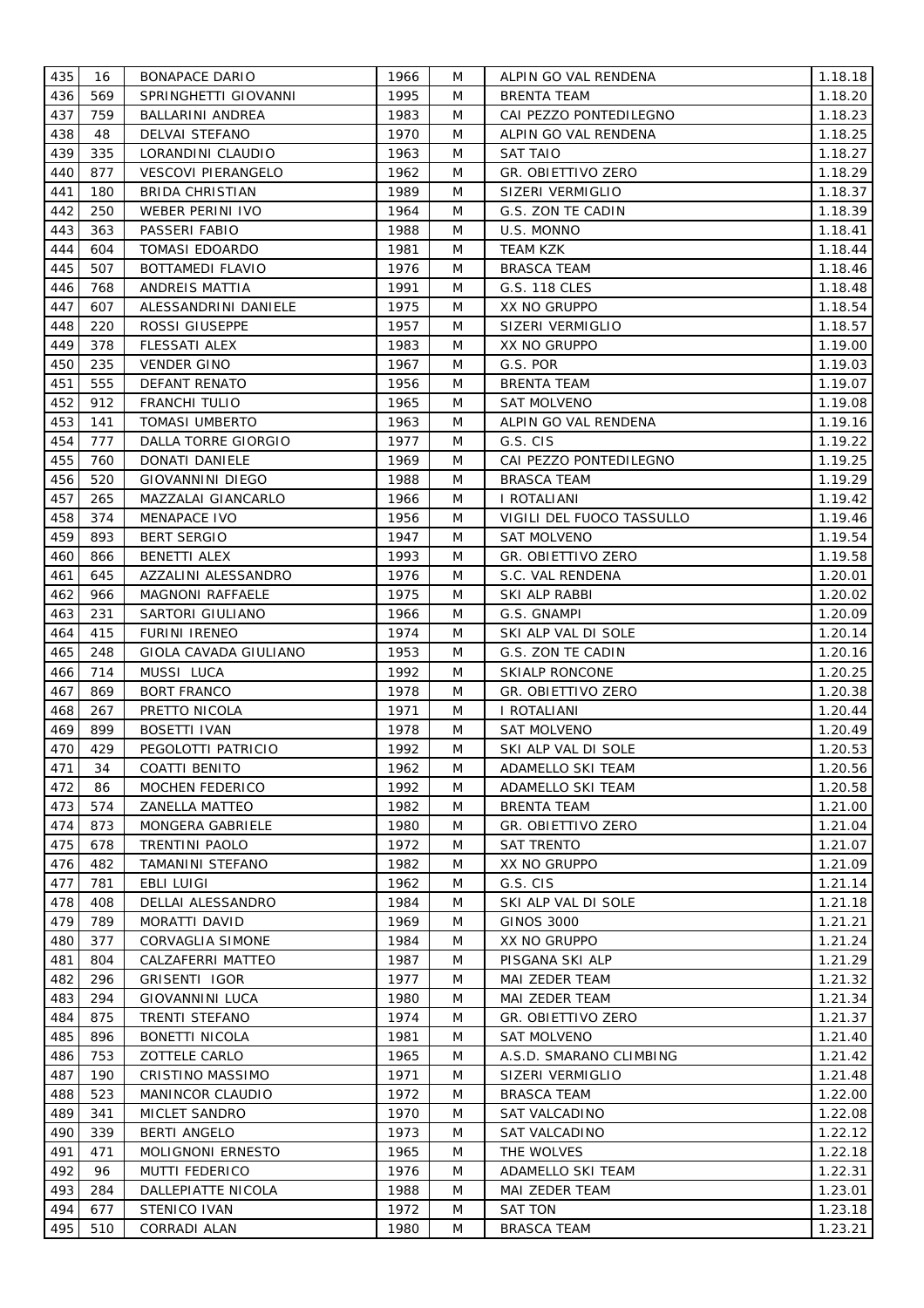| 435 | 16  | <b>BONAPACE DARIO</b>   | 1966 | M | ALPIN GO VAL RENDENA      | 1.18.18 |
|-----|-----|-------------------------|------|---|---------------------------|---------|
| 436 | 569 | SPRINGHETTI GIOVANNI    | 1995 | M | <b>BRENTA TEAM</b>        | 1.18.20 |
| 437 | 759 | BALLARINI ANDREA        | 1983 | M | CAI PEZZO PONTEDILEGNO    | 1.18.23 |
| 438 | 48  | DELVAI STEFANO          | 1970 | M | ALPIN GO VAL RENDENA      | 1.18.25 |
| 439 | 335 | LORANDINI CLAUDIO       | 1963 | M | <b>SAT TAIO</b>           | 1.18.27 |
| 440 | 877 | VESCOVI PIERANGELO      | 1962 | M | GR. OBIETTIVO ZERO        | 1.18.29 |
| 441 | 180 | <b>BRIDA CHRISTIAN</b>  | 1989 | M | SIZERI VERMIGLIO          | 1.18.37 |
| 442 | 250 | WEBER PERINI IVO        | 1964 | M | G.S. ZON TE CADIN         | 1.18.39 |
| 443 | 363 | PASSERI FABIO           | 1988 | M | U.S. MONNO                | 1.18.41 |
| 444 | 604 | <b>TOMASI EDOARDO</b>   | 1981 | M | TEAM KZK                  | 1.18.44 |
| 445 | 507 | BOTTAMEDI FLAVIO        | 1976 | M | BRASCA TEAM               | 1.18.46 |
| 446 | 768 | ANDREIS MATTIA          | 1991 | M | G.S. 118 CLES             | 1.18.48 |
| 447 | 607 | ALESSANDRINI DANIELE    | 1975 | M | XX NO GRUPPO              | 1.18.54 |
| 448 | 220 | ROSSI GIUSEPPE          | 1957 | M | SIZERI VERMIGLIO          | 1.18.57 |
| 449 | 378 | FLESSATI ALEX           | 1983 | M | XX NO GRUPPO              | 1.19.00 |
| 450 | 235 | <b>VENDER GINO</b>      | 1967 | M | G.S. POR                  | 1.19.03 |
| 451 | 555 | DEFANT RENATO           | 1956 | M | <b>BRENTA TEAM</b>        | 1.19.07 |
| 452 | 912 | <b>FRANCHI TULIO</b>    | 1965 | M | <b>SAT MOLVENO</b>        | 1.19.08 |
| 453 | 141 | <b>TOMASI UMBERTO</b>   | 1963 | M | ALPIN GO VAL RENDENA      | 1.19.16 |
| 454 | 777 | DALLA TORRE GIORGIO     | 1977 | M | G.S. CIS                  | 1.19.22 |
| 455 | 760 | DONATI DANIELE          | 1969 | M | CAI PEZZO PONTEDILEGNO    | 1.19.25 |
| 456 | 520 | <b>GIOVANNINI DIEGO</b> | 1988 | M | <b>BRASCA TEAM</b>        | 1.19.29 |
| 457 | 265 | MAZZALAI GIANCARLO      | 1966 | M | I ROTALIANI               | 1.19.42 |
| 458 | 374 | MENAPACE IVO            | 1956 | M | VIGILI DEL FUOCO TASSULLO | 1.19.46 |
| 459 | 893 | <b>BERT SERGIO</b>      | 1947 | M | <b>SAT MOLVENO</b>        | 1.19.54 |
| 460 | 866 | BENETTI ALEX            | 1993 | M | GR. OBIETTIVO ZERO        | 1.19.58 |
| 461 | 645 | AZZALINI ALESSANDRO     | 1976 | M | S.C. VAL RENDENA          | 1.20.01 |
| 462 | 966 | MAGNONI RAFFAELE        | 1975 | M | SKI ALP RABBI             | 1.20.02 |
| 463 | 231 | SARTORI GIULIANO        | 1966 | M | G.S. GNAMPI               | 1.20.09 |
| 464 | 415 | FURINI IRENEO           | 1974 | M | SKI ALP VAL DI SOLE       | 1.20.14 |
| 465 | 248 | GIOLA CAVADA GIULIANO   | 1953 | M | G.S. ZON TE CADIN         | 1.20.16 |
| 466 | 714 | MUSSI LUCA              | 1992 | M | <b>SKIALP RONCONE</b>     | 1.20.25 |
| 467 | 869 | <b>BORT FRANCO</b>      | 1978 | M | GR. OBIETTIVO ZERO        | 1.20.38 |
| 468 | 267 | PRETTO NICOLA           | 1971 | M | I ROTALIANI               | 1.20.44 |
| 469 | 899 | <b>BOSETTI IVAN</b>     | 1978 | M | <b>SAT MOLVENO</b>        | 1.20.49 |
| 470 | 429 | PEGOLOTTI PATRICIO      | 1992 | M | SKI ALP VAL DI SOLE       | 1.20.53 |
| 471 | 34  | COATTI BENITO           | 1962 | M | ADAMELLO SKI TEAM         | 1.20.56 |
| 472 | 86  | <b>MOCHEN FEDERICO</b>  | 1992 | M | <b>ADAMELLO SKI TEAM</b>  | 1.20.58 |
| 473 | 574 | <b>ZANELLA MATTEO</b>   | 1982 | M | <b>BRENTA TEAM</b>        | 1.21.00 |
| 474 | 873 | MONGERA GABRIELE        | 1980 | M | GR. OBIETTIVO ZERO        | 1.21.04 |
| 475 | 678 | TRENTINI PAOLO          | 1972 | M | <b>SAT TRENTO</b>         | 1.21.07 |
| 476 | 482 | TAMANINI STEFANO        | 1982 | M | XX NO GRUPPO              | 1.21.09 |
| 477 | 781 | EBLI LUIGI              | 1962 | M | G.S. CIS                  | 1.21.14 |
| 478 | 408 | DELLAI ALESSANDRO       | 1984 | M | SKI ALP VAL DI SOLE       | 1.21.18 |
| 479 | 789 | MORATTI DAVID           | 1969 | M | GINOS 3000                | 1.21.21 |
| 480 | 377 | <b>CORVAGLIA SIMONE</b> | 1984 | M | XX NO GRUPPO              | 1.21.24 |
| 481 | 804 | CALZAFERRI MATTEO       | 1987 | M | PISGANA SKI ALP           | 1.21.29 |
| 482 | 296 | GRISENTI IGOR           | 1977 | M | MAI ZEDER TEAM            | 1.21.32 |
| 483 | 294 | <b>GIOVANNINI LUCA</b>  | 1980 | M | MAI ZEDER TEAM            | 1.21.34 |
| 484 | 875 | TRENTI STEFANO          | 1974 | M | GR. OBIETTIVO ZERO        | 1.21.37 |
| 485 | 896 | <b>BONETTI NICOLA</b>   | 1981 | M | <b>SAT MOLVENO</b>        | 1.21.40 |
| 486 | 753 | ZOTTELE CARLO           | 1965 | M | A.S.D. SMARANO CLIMBING   | 1.21.42 |
| 487 | 190 | CRISTINO MASSIMO        | 1971 | M | SIZERI VERMIGLIO          | 1.21.48 |
| 488 | 523 | MANINCOR CLAUDIO        | 1972 | M | <b>BRASCA TEAM</b>        | 1.22.00 |
| 489 | 341 | MICLET SANDRO           | 1970 | M | SAT VALCADINO             | 1.22.08 |
| 490 | 339 | <b>BERTI ANGELO</b>     | 1973 | M | SAT VALCADINO             | 1.22.12 |
| 491 | 471 | MOLIGNONI ERNESTO       | 1965 | M | THE WOLVES                | 1.22.18 |
| 492 | 96  | MUTTI FEDERICO          | 1976 | M | ADAMELLO SKI TEAM         | 1.22.31 |
| 493 | 284 | DALLEPIATTE NICOLA      | 1988 | M | MAI ZEDER TEAM            | 1.23.01 |
| 494 | 677 | STENICO IVAN            | 1972 | M | SAT TON                   | 1.23.18 |
| 495 | 510 | CORRADI ALAN            | 1980 | M | <b>BRASCA TEAM</b>        | 1.23.21 |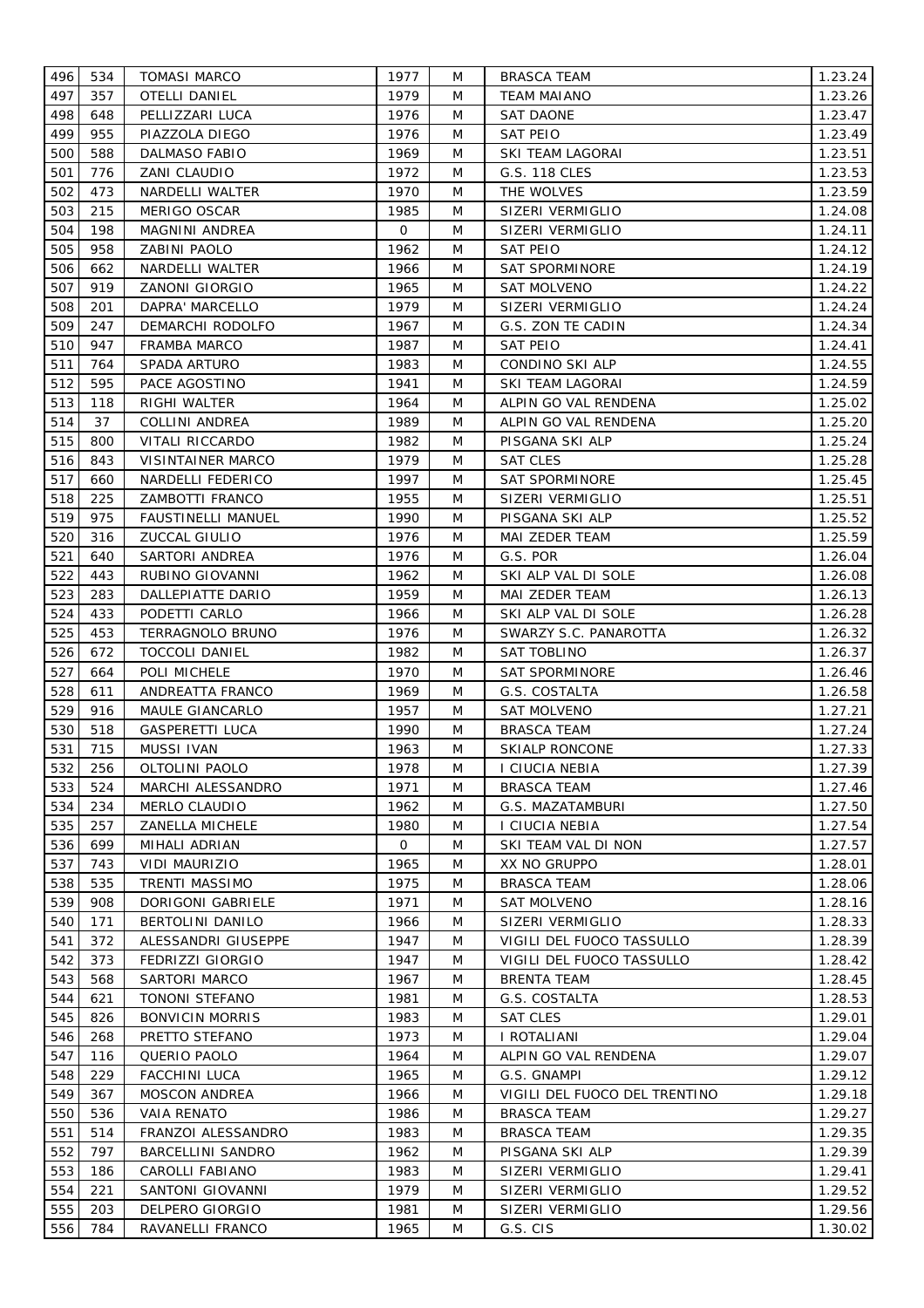| 496 | 534 | <b>TOMASI MARCO</b>       | 1977 | M | <b>BRASCA TEAM</b>            | 1.23.24 |
|-----|-----|---------------------------|------|---|-------------------------------|---------|
| 497 | 357 | <b>OTELLI DANIEL</b>      | 1979 | M | <b>TEAM MAIANO</b>            | 1.23.26 |
| 498 | 648 | PELLIZZARI LUCA           | 1976 | M | <b>SAT DAONE</b>              | 1.23.47 |
| 499 | 955 | PIAZZOLA DIEGO            | 1976 | M | SAT PEIO                      | 1.23.49 |
| 500 | 588 | <b>DALMASO FABIO</b>      | 1969 | M | SKI TEAM LAGORAI              | 1.23.51 |
| 501 | 776 | ZANI CLAUDIO              | 1972 | M | G.S. 118 CLES                 | 1.23.53 |
| 502 | 473 | NARDELLI WALTER           | 1970 | M | THE WOLVES                    | 1.23.59 |
| 503 | 215 | MERIGO OSCAR              | 1985 | M | SIZERI VERMIGLIO              | 1.24.08 |
| 504 | 198 | MAGNINI ANDREA            | 0    | M | SIZERI VERMIGLIO              | 1.24.11 |
| 505 | 958 | ZABINI PAOLO              | 1962 | M | SAT PEIO                      | 1.24.12 |
| 506 | 662 | NARDELLI WALTER           | 1966 | M | SAT SPORMINORE                | 1.24.19 |
| 507 | 919 | ZANONI GIORGIO            | 1965 | M | SAT MOLVENO                   | 1.24.22 |
| 508 | 201 | DAPRA' MARCELLO           | 1979 | M | SIZERI VERMIGLIO              | 1.24.24 |
| 509 | 247 | DEMARCHI RODOLFO          | 1967 | M | G.S. ZON TE CADIN             | 1.24.34 |
| 510 | 947 | FRAMBA MARCO              | 1987 | M | <b>SAT PEIO</b>               | 1.24.41 |
| 511 | 764 | SPADA ARTURO              | 1983 | M | CONDINO SKI ALP               | 1.24.55 |
| 512 | 595 | PACE AGOSTINO             | 1941 | M | SKI TEAM LAGORAI              | 1.24.59 |
| 513 | 118 | RIGHI WALTER              | 1964 | M | ALPIN GO VAL RENDENA          | 1.25.02 |
| 514 | 37  | COLLINI ANDREA            | 1989 | M | ALPIN GO VAL RENDENA          | 1.25.20 |
| 515 | 800 | VITALI RICCARDO           | 1982 | M | PISGANA SKI ALP               | 1.25.24 |
| 516 | 843 | VISINTAINER MARCO         | 1979 | M | SAT CLES                      | 1.25.28 |
| 517 | 660 | NARDELLI FEDERICO         | 1997 | M | <b>SAT SPORMINORE</b>         | 1.25.45 |
| 518 | 225 | ZAMBOTTI FRANCO           | 1955 | M | SIZERI VERMIGLIO              | 1.25.51 |
| 519 | 975 | <b>FAUSTINELLI MANUEL</b> | 1990 | M | PISGANA SKI ALP               | 1.25.52 |
| 520 | 316 | ZUCCAL GIULIO             | 1976 | M | MAI ZEDER TEAM                | 1.25.59 |
| 521 | 640 | SARTORI ANDREA            | 1976 | M | G.S. POR                      | 1.26.04 |
| 522 | 443 | RUBINO GIOVANNI           | 1962 | M | SKI ALP VAL DI SOLE           | 1.26.08 |
| 523 | 283 | DALLEPIATTE DARIO         | 1959 | M | MAI ZEDER TEAM                | 1.26.13 |
| 524 | 433 | PODETTI CARLO             | 1966 | M | SKI ALP VAL DI SOLE           | 1.26.28 |
| 525 | 453 | TERRAGNOLO BRUNO          | 1976 | M | SWARZY S.C. PANAROTTA         | 1.26.32 |
| 526 | 672 | <b>TOCCOLI DANIEL</b>     | 1982 | M | SAT TOBLINO                   | 1.26.37 |
| 527 | 664 | POLI MICHELE              | 1970 | M | SAT SPORMINORE                | 1.26.46 |
| 528 | 611 | ANDREATTA FRANCO          | 1969 | M | G.S. COSTALTA                 | 1.26.58 |
| 529 | 916 | MAULE GIANCARLO           | 1957 | M | SAT MOLVENO                   | 1.27.21 |
| 530 | 518 | <b>GASPERETTI LUCA</b>    | 1990 | M | <b>BRASCA TEAM</b>            | 1.27.24 |
| 531 | 715 | MUSSI IVAN                | 1963 | M | <b>SKIALP RONCONE</b>         | 1.27.33 |
| 532 | 256 | OLTOLINI PAOLO            | 1978 | M | <b>I CIUCIA NEBIA</b>         | 1.27.39 |
| 533 | 524 | <b>MARCHI ALESSANDRO</b>  | 1971 | M | <b>BRASCA TEAM</b>            | 1.27.46 |
| 534 | 234 | MERLO CLAUDIO             | 1962 | M | G.S. MAZATAMBURI              | 1.27.50 |
| 535 | 257 | ZANELLA MICHELE           | 1980 | M | I CIUCIA NEBIA                | 1.27.54 |
| 536 | 699 | MIHALI ADRIAN             | 0    | M | SKI TEAM VAL DI NON           | 1.27.57 |
| 537 | 743 | VIDI MAURIZIO             | 1965 | M | XX NO GRUPPO                  | 1.28.01 |
| 538 | 535 | TRENTI MASSIMO            | 1975 | M | <b>BRASCA TEAM</b>            | 1.28.06 |
| 539 | 908 | DORIGONI GABRIELE         | 1971 | M | <b>SAT MOLVENO</b>            | 1.28.16 |
| 540 | 171 | BERTOLINI DANILO          | 1966 | M | SIZERI VERMIGLIO              | 1.28.33 |
| 541 | 372 | ALESSANDRI GIUSEPPE       | 1947 | M | VIGILI DEL FUOCO TASSULLO     | 1.28.39 |
| 542 | 373 | FEDRIZZI GIORGIO          | 1947 | M | VIGILI DEL FUOCO TASSULLO     | 1.28.42 |
| 543 | 568 | SARTORI MARCO             | 1967 | M | <b>BRENTA TEAM</b>            | 1.28.45 |
| 544 | 621 | TONONI STEFANO            | 1981 | M | G.S. COSTALTA                 | 1.28.53 |
| 545 | 826 | BONVICIN MORRIS           | 1983 | M | <b>SAT CLES</b>               | 1.29.01 |
| 546 | 268 | PRETTO STEFANO            | 1973 | M | I ROTALIANI                   | 1.29.04 |
| 547 | 116 | QUERIO PAOLO              | 1964 | M | ALPIN GO VAL RENDENA          | 1.29.07 |
| 548 | 229 | <b>FACCHINI LUCA</b>      | 1965 | M | G.S. GNAMPI                   | 1.29.12 |
| 549 | 367 | <b>MOSCON ANDREA</b>      | 1966 | M | VIGILI DEL FUOCO DEL TRENTINO | 1.29.18 |
| 550 | 536 | <b>VAIA RENATO</b>        | 1986 | M | <b>BRASCA TEAM</b>            | 1.29.27 |
| 551 | 514 | FRANZOI ALESSANDRO        | 1983 | M | <b>BRASCA TEAM</b>            | 1.29.35 |
| 552 | 797 | <b>BARCELLINI SANDRO</b>  | 1962 | M | PISGANA SKI ALP               | 1.29.39 |
| 553 | 186 | CAROLLI FABIANO           | 1983 | M | SIZERI VERMIGLIO              | 1.29.41 |
| 554 | 221 | SANTONI GIOVANNI          | 1979 | M | SIZERI VERMIGLIO              | 1.29.52 |
| 555 | 203 | DELPERO GIORGIO           | 1981 | M | SIZERI VERMIGLIO              | 1.29.56 |
| 556 | 784 | RAVANELLI FRANCO          | 1965 | M | G.S. CIS                      | 1.30.02 |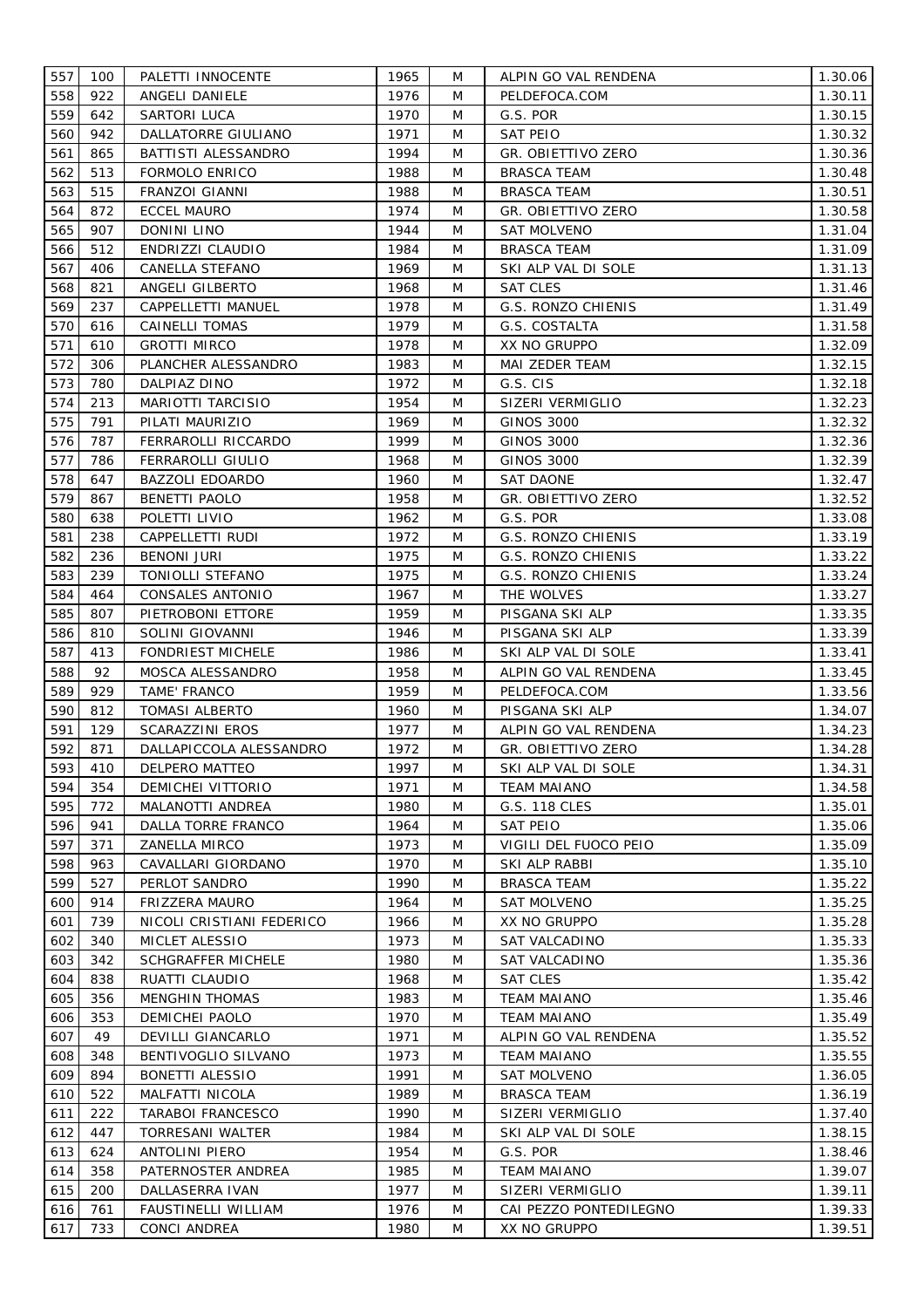| 557 | 100 | PALETTI INNOCENTE         | 1965 | M | ALPIN GO VAL RENDENA   | 1.30.06 |
|-----|-----|---------------------------|------|---|------------------------|---------|
| 558 | 922 | ANGELI DANIELE            | 1976 | M | PELDEFOCA.COM          | 1.30.11 |
| 559 | 642 | SARTORI LUCA              | 1970 | M | G.S. POR               | 1.30.15 |
| 560 | 942 | DALLATORRE GIULIANO       | 1971 | M | SAT PEIO               | 1.30.32 |
| 561 | 865 | BATTISTI ALESSANDRO       | 1994 | M | GR. OBIETTIVO ZERO     | 1.30.36 |
| 562 | 513 | <b>FORMOLO ENRICO</b>     | 1988 | M | <b>BRASCA TEAM</b>     | 1.30.48 |
| 563 | 515 | FRANZOI GIANNI            | 1988 | M | <b>BRASCA TEAM</b>     | 1.30.51 |
| 564 | 872 | ECCEL MAURO               | 1974 | M | GR. OBIETTIVO ZERO     | 1.30.58 |
| 565 | 907 | DONINI LINO               | 1944 | M | SAT MOLVENO            | 1.31.04 |
| 566 | 512 | ENDRIZZI CLAUDIO          | 1984 | M | <b>BRASCA TEAM</b>     | 1.31.09 |
| 567 | 406 | CANELLA STEFANO           | 1969 | M | SKI ALP VAL DI SOLE    | 1.31.13 |
| 568 | 821 | ANGELI GILBERTO           | 1968 | M | SAT CLES               | 1.31.46 |
| 569 | 237 | CAPPELLETTI MANUEL        | 1978 | M | G.S. RONZO CHIENIS     | 1.31.49 |
| 570 | 616 | CAINELLI TOMAS            | 1979 | M | G.S. COSTALTA          | 1.31.58 |
| 571 | 610 | <b>GROTTI MIRCO</b>       | 1978 | M | XX NO GRUPPO           | 1.32.09 |
| 572 | 306 | PLANCHER ALESSANDRO       | 1983 | M | MAI ZEDER TEAM         | 1.32.15 |
| 573 | 780 | DALPIAZ DINO              | 1972 | M | G.S. CIS               | 1.32.18 |
| 574 | 213 | <b>MARIOTTI TARCISIO</b>  | 1954 | M | SIZERI VERMIGLIO       | 1.32.23 |
| 575 | 791 | PILATI MAURIZIO           | 1969 | M | <b>GINOS 3000</b>      | 1.32.32 |
| 576 | 787 | FERRAROLLI RICCARDO       | 1999 | M | <b>GINOS 3000</b>      | 1.32.36 |
| 577 | 786 | FERRAROLLI GIULIO         | 1968 | M | <b>GINOS 3000</b>      | 1.32.39 |
| 578 | 647 | <b>BAZZOLI EDOARDO</b>    | 1960 | M | <b>SAT DAONE</b>       | 1.32.47 |
| 579 | 867 | <b>BENETTI PAOLO</b>      | 1958 | M | GR. OBIETTIVO ZERO     |         |
|     |     |                           |      |   |                        | 1.32.52 |
| 580 | 638 | POLETTI LIVIO             | 1962 | M | G.S. POR               | 1.33.08 |
| 581 | 238 | CAPPELLETTI RUDI          | 1972 | M | G.S. RONZO CHIENIS     | 1.33.19 |
| 582 | 236 | <b>BENONI JURI</b>        | 1975 | M | G.S. RONZO CHIENIS     | 1.33.22 |
| 583 | 239 | TONIOLLI STEFANO          | 1975 | M | G.S. RONZO CHIENIS     | 1.33.24 |
| 584 | 464 | CONSALES ANTONIO          | 1967 | M | THE WOLVES             | 1.33.27 |
| 585 | 807 | PIETROBONI ETTORE         | 1959 | M | PISGANA SKI ALP        | 1.33.35 |
| 586 | 810 | SOLINI GIOVANNI           | 1946 | M | PISGANA SKI ALP        | 1.33.39 |
| 587 | 413 | <b>FONDRIEST MICHELE</b>  | 1986 | M | SKI ALP VAL DI SOLE    | 1.33.41 |
| 588 | 92  | MOSCA ALESSANDRO          | 1958 | M | ALPIN GO VAL RENDENA   | 1.33.45 |
| 589 | 929 | TAME' FRANCO              | 1959 | M | PELDEFOCA.COM          | 1.33.56 |
| 590 | 812 | TOMASI ALBERTO            | 1960 | M | PISGANA SKI ALP        | 1.34.07 |
| 591 | 129 | SCARAZZINI EROS           | 1977 | M | ALPIN GO VAL RENDENA   | 1.34.23 |
| 592 | 871 | DALLAPICCOLA ALESSANDRO   | 1972 | M | GR. OBIETTIVO ZERO     | 1.34.28 |
| 593 | 410 | DELPERO MATTEO            | 1997 | M | SKI ALP VAL DI SOLE    | 1.34.31 |
| 594 | 354 | <b>DEMICHEI VITTORIO</b>  | 1971 | M | <b>TEAM MAIANO</b>     | 1.34.58 |
| 595 | 772 | MALANOTTI ANDREA          | 1980 | M | G.S. 118 CLES          | 1.35.01 |
| 596 | 941 | DALLA TORRE FRANCO        | 1964 | M | <b>SAT PEIO</b>        | 1.35.06 |
| 597 | 371 | <b>ZANELLA MIRCO</b>      | 1973 | M | VIGILI DEL FUOCO PEIO  | 1.35.09 |
| 598 | 963 | CAVALLARI GIORDANO        | 1970 | M | SKI ALP RABBI          | 1.35.10 |
| 599 | 527 | PERLOT SANDRO             | 1990 | M | <b>BRASCA TEAM</b>     | 1.35.22 |
| 600 | 914 | <b>FRIZZERA MAURO</b>     | 1964 | M | <b>SAT MOLVENO</b>     | 1.35.25 |
| 601 | 739 | NICOLI CRISTIANI FEDERICO | 1966 | M | XX NO GRUPPO           | 1.35.28 |
| 602 | 340 | MICLET ALESSIO            | 1973 | M | SAT VALCADINO          | 1.35.33 |
| 603 | 342 | <b>SCHGRAFFER MICHELE</b> | 1980 | M | SAT VALCADINO          | 1.35.36 |
| 604 | 838 | RUATTI CLAUDIO            | 1968 | M | <b>SAT CLES</b>        | 1.35.42 |
| 605 | 356 | MENGHIN THOMAS            | 1983 | M | <b>TEAM MAIANO</b>     | 1.35.46 |
| 606 | 353 | DEMICHEI PAOLO            | 1970 | M | <b>TEAM MAIANO</b>     | 1.35.49 |
| 607 | 49  | DEVILLI GIANCARLO         | 1971 | M | ALPIN GO VAL RENDENA   | 1.35.52 |
| 608 | 348 | BENTIVOGLIO SILVANO       | 1973 | M | <b>TEAM MAIANO</b>     | 1.35.55 |
| 609 | 894 | BONETTI ALESSIO           | 1991 | M | <b>SAT MOLVENO</b>     | 1.36.05 |
| 610 | 522 | MALFATTI NICOLA           | 1989 | M | <b>BRASCA TEAM</b>     | 1.36.19 |
| 611 | 222 | TARABOI FRANCESCO         | 1990 | M | SIZERI VERMIGLIO       | 1.37.40 |
| 612 | 447 | TORRESANI WALTER          | 1984 | M | SKI ALP VAL DI SOLE    | 1.38.15 |
| 613 | 624 | <b>ANTOLINI PIERO</b>     | 1954 | M | G.S. POR               | 1.38.46 |
| 614 | 358 | PATERNOSTER ANDREA        | 1985 | M | <b>TEAM MAIANO</b>     | 1.39.07 |
| 615 | 200 | DALLASERRA IVAN           | 1977 | M | SIZERI VERMIGLIO       | 1.39.11 |
| 616 | 761 | FAUSTINELLI WILLIAM       | 1976 | M | CAI PEZZO PONTEDILEGNO | 1.39.33 |
| 617 | 733 | CONCI ANDREA              | 1980 | M | XX NO GRUPPO           | 1.39.51 |